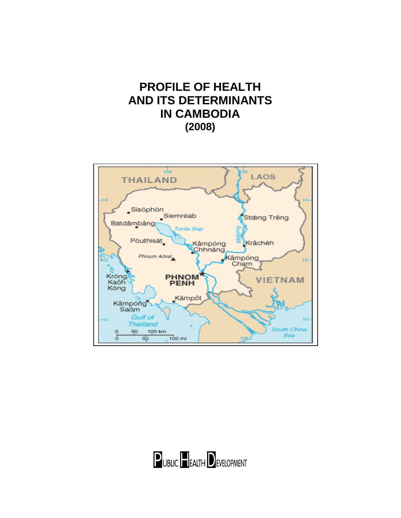# **PROFILE OF HEALTH AND ITS DETERMINANTS IN CAMBODIA (2008)**



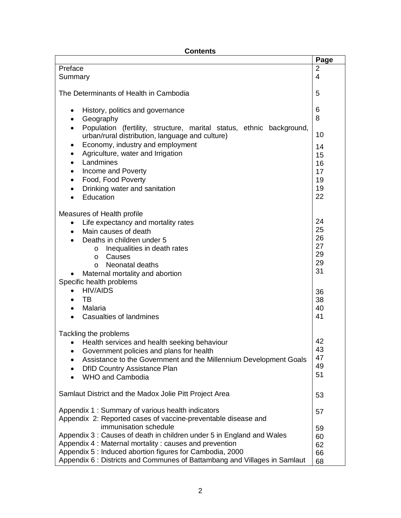# **Contents**

|                                                                                   | Page           |
|-----------------------------------------------------------------------------------|----------------|
| Preface                                                                           | $\overline{2}$ |
| Summary                                                                           | $\overline{4}$ |
|                                                                                   |                |
| The Determinants of Health in Cambodia                                            | 5              |
|                                                                                   |                |
| History, politics and governance                                                  | 6              |
| Geography                                                                         | 8              |
| Population (fertility, structure, marital status, ethnic background,<br>$\bullet$ |                |
| urban/rural distribution, language and culture)                                   | 10             |
| Economy, industry and employment                                                  | 14             |
| Agriculture, water and Irrigation                                                 | 15             |
| Landmines                                                                         | 16             |
| Income and Poverty                                                                | 17             |
| Food, Food Poverty                                                                | 19             |
| Drinking water and sanitation                                                     | 19             |
| $\bullet$<br>Education                                                            | 22             |
|                                                                                   |                |
|                                                                                   |                |
| Measures of Health profile                                                        | 24             |
| Life expectancy and mortality rates<br>$\bullet$                                  | 25             |
| Main causes of death<br>$\bullet$                                                 | 26             |
| Deaths in children under 5                                                        | 27             |
| Inequalities in death rates<br>$\circ$                                            | 29             |
| Causes<br>$\circ$                                                                 | 29             |
| Neonatal deaths<br>O                                                              | 31             |
| Maternal mortality and abortion                                                   |                |
| Specific health problems                                                          |                |
| <b>HIV/AIDS</b>                                                                   | 36             |
| TB<br>$\bullet$                                                                   | 38             |
| Malaria<br>$\bullet$                                                              | 40             |
| <b>Casualties of landmines</b><br>$\bullet$                                       | 41             |
|                                                                                   |                |
| Tackling the problems                                                             | 42             |
| Health services and health seeking behaviour<br>$\bullet$                         | 43             |
| Government policies and plans for health                                          | 47             |
| Assistance to the Government and the Millennium Development Goals                 | 49             |
| <b>DfID Country Assistance Plan</b>                                               | 51             |
| <b>WHO and Cambodia</b>                                                           |                |
|                                                                                   |                |
| Samlaut District and the Madox Jolie Pitt Project Area                            | 53             |
| Appendix 1: Summary of various health indicators                                  |                |
| Appendix 2: Reported cases of vaccine-preventable disease and                     | 57             |
| immunisation schedule                                                             | 59             |
| Appendix 3 : Causes of death in children under 5 in England and Wales             |                |
| Appendix 4 : Maternal mortality : causes and prevention                           | 60<br>62       |
| Appendix 5 : Induced abortion figures for Cambodia, 2000                          | 66             |
| Appendix 6 : Districts and Communes of Battambang and Villages in Samlaut         | 68             |
|                                                                                   |                |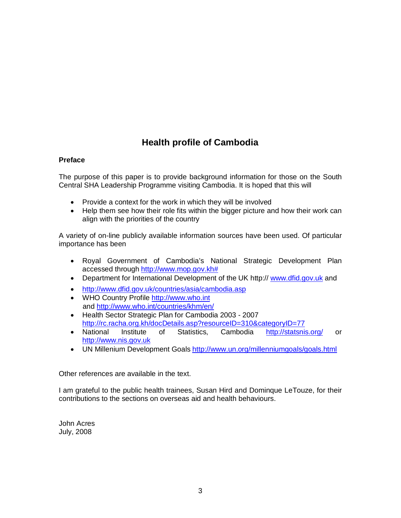# **Health profile of Cambodia**

# **Preface**

The purpose of this paper is to provide background information for those on the South Central SHA Leadership Programme visiting Cambodia. It is hoped that this will

- Provide a context for the work in which they will be involved
- Help them see how their role fits within the bigger picture and how their work can align with the priorities of the country

A variety of on-line publicly available information sources have been used. Of particular importance has been

- Royal Government of Cambodia's National Strategic Development Plan accessed through [http://www.mop.gov.kh#](http://www.mop.gov.kh/)
- Department for International Development of the UK http:// [www.dfid.gov.uk](http://www.dfid.gov.uk/) and
- <http://www.dfid.gov.uk/countries/asia/cambodia.asp>
- WHO Country Profile [http://www.who.int](http://www.who.int/) and<http://www.who.int/countries/khm/en/>
- Health Sector Strategic Plan for Cambodia 2003 2007 <http://rc.racha.org.kh/docDetails.asp?resourceID=310&categoryID=77>
- National Institute of Statistics, Cambodia <http://statsnis.org/> or [http://www.nis.gov.uk](http://www.nis.gov.uk/)
- UN Millenium Development Goals<http://www.un.org/millenniumgoals/goals.html>

Other references are available in the text.

I am grateful to the public health trainees, Susan Hird and Dominque LeTouze, for their contributions to the sections on overseas aid and health behaviours.

John Acres July, 2008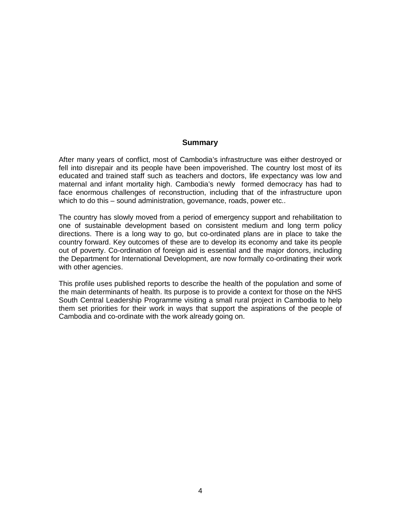### **Summary**

After many years of conflict, most of Cambodia's infrastructure was either destroyed or fell into disrepair and its people have been impoverished. The country lost most of its educated and trained staff such as teachers and doctors, life expectancy was low and maternal and infant mortality high. Cambodia's newly formed democracy has had to face enormous challenges of reconstruction, including that of the infrastructure upon which to do this – sound administration, governance, roads, power etc..

The country has slowly moved from a period of emergency support and rehabilitation to one of sustainable development based on consistent medium and long term policy directions. There is a long way to go, but co-ordinated plans are in place to take the country forward. Key outcomes of these are to develop its economy and take its people out of poverty. Co-ordination of foreign aid is essential and the major donors, including the Department for International Development, are now formally co-ordinating their work with other agencies.

This profile uses published reports to describe the health of the population and some of the main determinants of health. Its purpose is to provide a context for those on the NHS South Central Leadership Programme visiting a small rural project in Cambodia to help them set priorities for their work in ways that support the aspirations of the people of Cambodia and co-ordinate with the work already going on.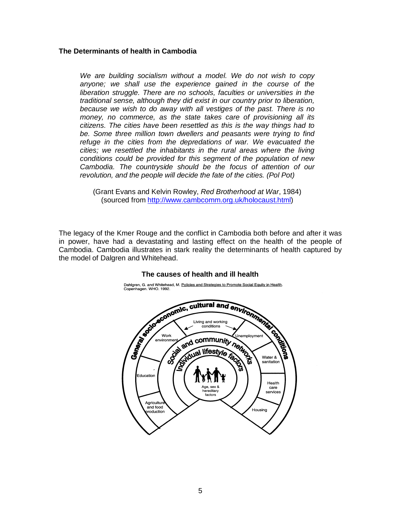### **The Determinants of health in Cambodia**

*We are building socialism without a model. We do not wish to copy anyone; we shall use the experience gained in the course of the liberation struggle. There are no schools, faculties or universities in the traditional sense, although they did exist in our country prior to liberation, because we wish to do away with all vestiges of the past. There is no money, no commerce, as the state takes care of provisioning all its citizens. The cities have been resettled as this is the way things had to be. Some three million town dwellers and peasants were trying to find refuge in the cities from the depredations of war. We evacuated the cities; we resettled the inhabitants in the rural areas where the living conditions could be provided for this segment of the population of new Cambodia. The countryside should be the focus of attention of our revolution, and the people will decide the fate of the cities. (Pol Pot)*

(Grant Evans and Kelvin Rowley, *Red Brotherhood at War*, 1984) (sourced from [http://www.cambcomm.org.uk/holocaust.html\)](http://www.cambcomm.org.uk/holocaust.html)

The legacy of the Kmer Rouge and the conflict in Cambodia both before and after it was in power, have had a devastating and lasting effect on the health of the people of Cambodia. Cambodia illustrates in stark reality the determinants of health captured by the model of Dalgren and Whitehead.



#### **The causes of health and ill health**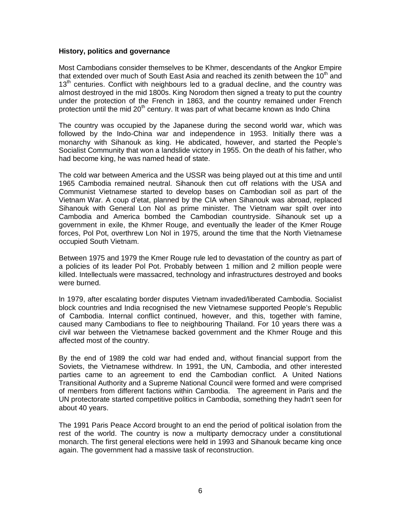#### **History, politics and governance**

Most Cambodians consider themselves to be Khmer, descendants of the Angkor Empire that extended over much of South East Asia and reached its zenith between the 10<sup>th</sup> and 13<sup>th</sup> centuries. Conflict with neighbours led to a gradual decline, and the country was almost destroyed in the mid 1800s. King Norodom then signed a treaty to put the country under the protection of the French in 1863, and the country remained under French protection until the mid 20<sup>th</sup> century. It was part of what became known as Indo China

The country was occupied by the Japanese during the second world war, which was followed by the Indo-China war and independence in 1953. Initially there was a monarchy with Sihanouk as king. He abdicated, however, and started the People's Socialist Community that won a landslide victory in 1955. On the death of his father, who had become king, he was named head of state.

The cold war between America and the USSR was being played out at this time and until 1965 Cambodia remained neutral. Sihanouk then cut off relations with the USA and Communist Vietnamese started to develop bases on Cambodian soil as part of the Vietnam War. A coup d'etat, planned by the CIA when Sihanouk was abroad, replaced Sihanouk with General Lon Nol as prime minister. The Vietnam war spilt over into Cambodia and America bombed the Cambodian countryside. Sihanouk set up a government in exile, the Khmer Rouge, and eventually the leader of the Kmer Rouge forces, Pol Pot, overthrew Lon Nol in 1975, around the time that the North Vietnamese occupied South Vietnam.

Between 1975 and 1979 the Kmer Rouge rule led to devastation of the country as part of a policies of its leader Pol Pot. Probably between 1 million and 2 million people were killed. Intellectuals were massacred, technology and infrastructures destroyed and books were burned.

In 1979, after escalating border disputes Vietnam invaded/liberated Cambodia. Socialist block countries and India recognised the new Vietnamese supported People's Republic of Cambodia. Internal conflict continued, however, and this, together with famine, caused many Cambodians to flee to neighbouring Thailand. For 10 years there was a civil war between the Vietnamese backed government and the Khmer Rouge and this affected most of the country.

By the end of 1989 the cold war had ended and, without financial support from the Soviets, the Vietnamese withdrew. In 1991, the UN, Cambodia, and other interested parties came to an agreement to end the Cambodian conflict. A United Nations Transitional Authority and a Supreme National Council were formed and were comprised of members from different factions within Cambodia. The agreement in Paris and the UN protectorate started competitive politics in Cambodia, something they hadn't seen for about 40 years.

The 1991 Paris Peace Accord brought to an end the period of political isolation from the rest of the world. The country is now a multiparty democracy under a constitutional monarch. The first general elections were held in 1993 and Sihanouk became king once again. The government had a massive task of reconstruction.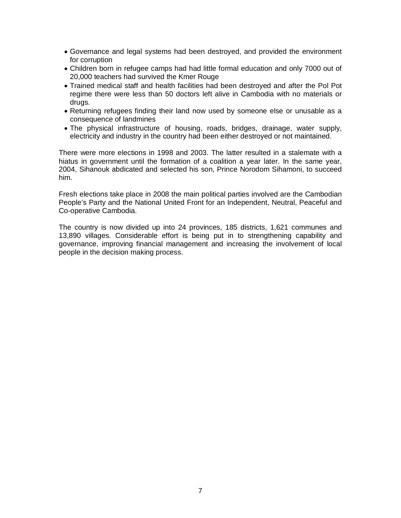- Governance and legal systems had been destroyed, and provided the environment for corruption
- Children born in refugee camps had had little formal education and only 7000 out of 20,000 teachers had survived the Kmer Rouge
- Trained medical staff and health facilities had been destroyed and after the Pol Pot regime there were less than 50 doctors left alive in Cambodia with no materials or drugs.
- Returning refugees finding their land now used by someone else or unusable as a consequence of landmines
- The physical infrastructure of housing, roads, bridges, drainage, water supply, electricity and industry in the country had been either destroyed or not maintained.

There were more elections in 1998 and 2003. The latter resulted in a stalemate with a hiatus in government until the formation of a coalition a year later. In the same year, 2004, Sihanouk abdicated and selected his son, Prince Norodom Sihamoni, to succeed him.

Fresh elections take place in 2008 the main political parties involved are the Cambodian People's Party and the National United Front for an Independent, Neutral, Peaceful and Co-operative Cambodia.

The country is now divided up into 24 provinces, 185 districts, 1,621 communes and 13,890 villages. Considerable effort is being put in to strengthening capability and governance, improving financial management and increasing the involvement of local people in the decision making process.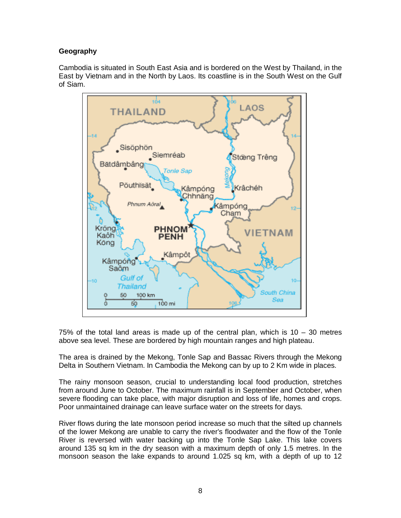# **Geography**

Cambodia is situated in South East Asia and is bordered on the West by Thailand, in the East by Vietnam and in the North by Laos. Its coastline is in the South West on the Gulf of Siam.



75% of the total land areas is made up of the central plan, which is 10 – 30 metres above sea level. These are bordered by high mountain ranges and high plateau.

The area is drained by the Mekong, Tonle Sap and Bassac Rivers through the Mekong Delta in Southern Vietnam. In Cambodia the Mekong can by up to 2 Km wide in places.

The rainy monsoon season, crucial to understanding local food production, stretches from around June to October. The maximum rainfall is in September and October, when severe flooding can take place, with major disruption and loss of life, homes and crops. Poor unmaintained drainage can leave surface water on the streets for days.

River flows during the late monsoon period increase so much that the silted up channels of the lower Mekong are unable to carry the river's floodwater and the flow of the Tonle River is reversed with water backing up into the Tonle Sap Lake. This lake covers around 135 sq km in the dry season with a maximum depth of only 1.5 metres. In the monsoon season the lake expands to around 1.025 sq km, with a depth of up to 12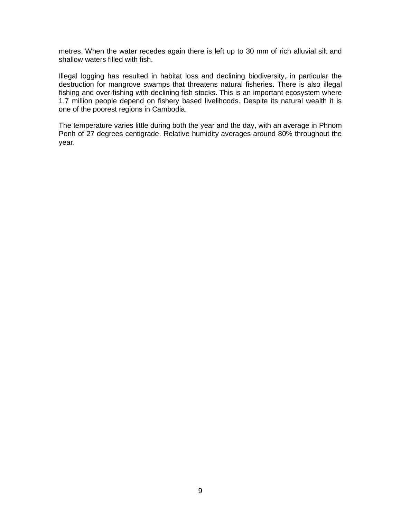metres. When the water recedes again there is left up to 30 mm of rich alluvial silt and shallow waters filled with fish.

Illegal logging has resulted in habitat loss and declining biodiversity, in particular the destruction for mangrove swamps that threatens natural fisheries. There is also illegal fishing and over-fishing with declining fish stocks. This is an important ecosystem where 1.7 million people depend on fishery based livelihoods. Despite its natural wealth it is one of the poorest regions in Cambodia.

The temperature varies little during both the year and the day, with an average in Phnom Penh of 27 degrees centigrade. Relative humidity averages around 80% throughout the year.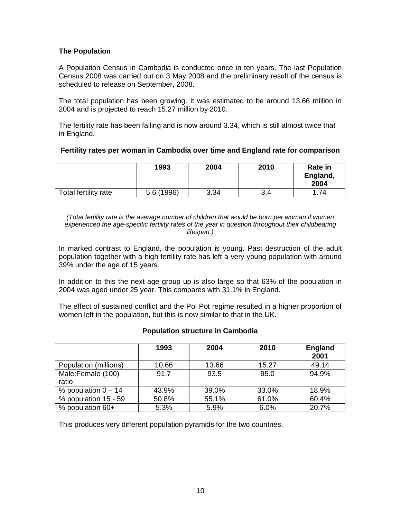# **The Population**

A Population Census in Cambodia is conducted once in ten years. The last Population Census 2008 was carried out on 3 May 2008 and the preliminary result of the census is scheduled to release on September, 2008.

The total population has been growing. It was estimated to be around 13.66 million in 2004 and is projected to reach 15.27 million by 2010.

The fertility rate has been falling and is now around 3.34, which is still almost twice that in England.

### **Fertility rates per woman in Cambodia over time and England rate for comparison**

|                      | 1993       | 2004 | 2010 | Rate in<br>England,<br>2004 |
|----------------------|------------|------|------|-----------------------------|
| Total fertility rate | 5.6 (1996) | 3.34 | 3.4  | 74                          |

*(Total fertility rate is the average number of children that would be born per woman if women experienced the age-specific fertility rates of the year in question throughout their childbearing lifespan.)*

In marked contrast to England, the population is young. Past destruction of the adult population together with a high fertility rate has left a very young population with around 39% under the age of 15 years.

In addition to this the next age group up is also large so that 63% of the population in 2004 was aged under 25 year. This compares with 31.1% in England.

The effect of sustained conflict and the Pol Pot regime resulted in a higher proportion of women left in the population, but this is now similar to that in the UK.

# **Population structure in Cambodia**

|                            | 1993  | 2004  | 2010  | <b>England</b><br>2001 |
|----------------------------|-------|-------|-------|------------------------|
| Population (millions)      | 10.66 | 13.66 | 15.27 | 49.14                  |
| Male:Female (100)<br>ratio | 91.7  | 93.5  | 95.0  | 94.9%                  |
| % population $0 - 14$      | 43.9% | 39.0% | 33.0% | 18.9%                  |
| % population 15 - 59       | 50.8% | 55.1% | 61.0% | 60.4%                  |
| $%$ population 60+         | 5.3%  | 5.9%  | 6.0%  | 20.7%                  |

This produces very different population pyramids for the two countries.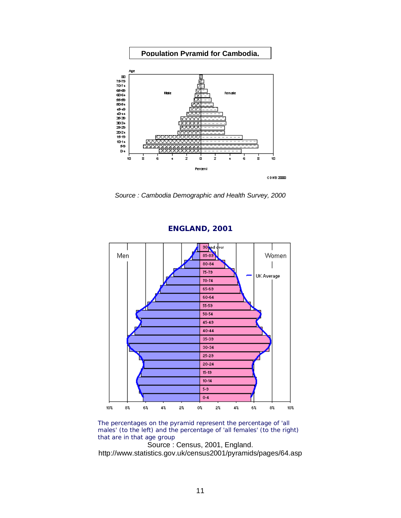

*Source : Cambodia Demographic and Health Survey, 2000*



**ENGLAND, 2001**

The percentages on the pyramid represent the percentage of 'all males' (to the left) and the percentage of 'all females' (to the right) that are in that age group

Source : Census, 2001, England. http://www.statistics.gov.uk/census2001/pyramids/pages/64.asp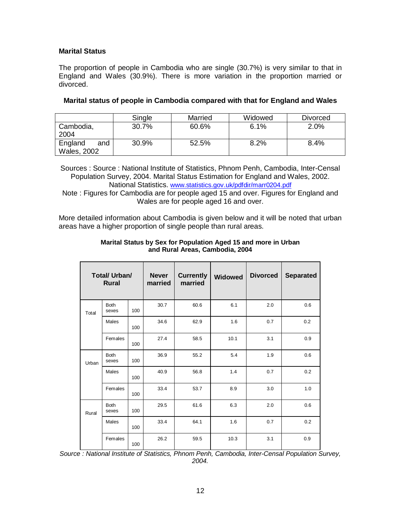# **Marital Status**

The proportion of people in Cambodia who are single (30.7%) is very similar to that in England and Wales (30.9%). There is more variation in the proportion married or divorced.

|                                      | Single | Married | Widowed | Divorced |
|--------------------------------------|--------|---------|---------|----------|
| Cambodia,<br>2004                    | 30.7%  | 60.6%   | 6.1%    | 2.0%     |
| England<br>and<br><b>Wales, 2002</b> | 30.9%  | 52.5%   | 8.2%    | 8.4%     |

#### **Marital status of people in Cambodia compared with that for England and Wales**

Sources : Source : National Institute of Statistics, Phnom Penh, Cambodia, Inter-Censal Population Survey, 2004. Marital Status Estimation for England and Wales, 2002. National Statistics. [www.statistics.gov.uk/pdfdir/marr0204.pdf](http://www.statistics.gov.uk/pdfdir/marr0204.pdf)

Note : Figures for Cambodia are for people aged 15 and over. Figures for England and Wales are for people aged 16 and over.

More detailed information about Cambodia is given below and it will be noted that urban areas have a higher proportion of single people than rural areas.

|       | Total/ Urban/<br><b>Rural</b> |     | <b>Never</b><br>married | <b>Currently</b><br>married | <b>Widowed</b> | <b>Divorced</b> | <b>Separated</b> |
|-------|-------------------------------|-----|-------------------------|-----------------------------|----------------|-----------------|------------------|
| Total | <b>Both</b><br>sexes          | 100 | 30.7                    | 60.6                        | 6.1            | 2.0             | 0.6              |
|       | Males                         | 100 | 34.6                    | 62.9                        | 1.6            | 0.7             | 0.2              |
|       | Females                       | 100 | 27.4                    | 58.5                        | 10.1           | 3.1             | 0.9              |
| Urban | <b>Both</b><br>sexes          | 100 | 36.9                    | 55.2                        | 5.4            | 1.9             | 0.6              |
|       | Males                         | 100 | 40.9                    | 56.8                        | 1.4            | 0.7             | 0.2              |
|       | Females                       | 100 | 33.4                    | 53.7                        | 8.9            | 3.0             | 1.0              |
| Rural | <b>Both</b><br>sexes          | 100 | 29.5                    | 61.6                        | 6.3            | 2.0             | 0.6              |
|       | Males                         | 100 | 33.4                    | 64.1                        | 1.6            | 0.7             | 0.2              |
|       | Females                       | 100 | 26.2                    | 59.5                        | 10.3           | 3.1             | 0.9              |

#### **Marital Status by Sex for Population Aged 15 and more in Urban and Rural Areas, Cambodia, 2004**

*Source : National Institute of Statistics, Phnom Penh, Cambodia, Inter-Censal Population Survey, 2004.*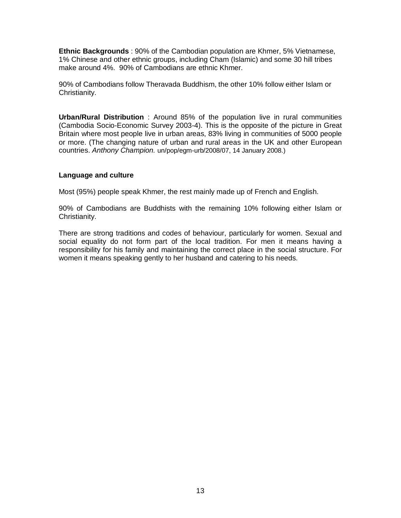**Ethnic Backgrounds** : 90% of the Cambodian population are Khmer, 5% Vietnamese, 1% Chinese and other ethnic groups, including Cham (Islamic) and some 30 hill tribes make around 4%. 90% of Cambodians are ethnic Khmer.

90% of Cambodians follow Theravada Buddhism, the other 10% follow either Islam or Christianity.

**Urban/Rural Distribution** : Around 85% of the population live in rural communities (Cambodia Socio-Economic Survey 2003-4). This is the opposite of the picture in Great Britain where most people live in urban areas, 83% living in communities of 5000 people or more. (The changing nature of urban and rural areas in the UK and other European countries. *Anthony Champion.* un/pop/egm-urb/2008/07, 14 January 2008.)

### **Language and culture**

Most (95%) people speak Khmer, the rest mainly made up of French and English.

90% of Cambodians are Buddhists with the remaining 10% following either Islam or Christianity.

There are strong traditions and codes of behaviour, particularly for women. Sexual and social equality do not form part of the local tradition. For men it means having a responsibility for his family and maintaining the correct place in the social structure. For women it means speaking gently to her husband and catering to his needs.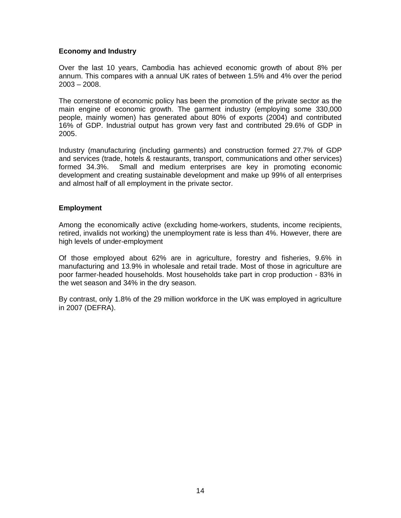# **Economy and Industry**

Over the last 10 years, Cambodia has achieved economic growth of about 8% per annum. This compares with a annual UK rates of between 1.5% and 4% over the period 2003 – 2008.

The cornerstone of economic policy has been the promotion of the private sector as the main engine of economic growth. The garment industry (employing some 330,000 people, mainly women) has generated about 80% of exports (2004) and contributed 16% of GDP. Industrial output has grown very fast and contributed 29.6% of GDP in 2005.

Industry (manufacturing (including garments) and construction formed 27.7% of GDP and services (trade, hotels & restaurants, transport, communications and other services) formed 34.3%. Small and medium enterprises are key in promoting economic development and creating sustainable development and make up 99% of all enterprises and almost half of all employment in the private sector.

### **Employment**

Among the economically active (excluding home-workers, students, income recipients, retired, invalids not working) the unemployment rate is less than 4%. However, there are high levels of under-employment

Of those employed about 62% are in agriculture, forestry and fisheries, 9.6% in manufacturing and 13.9% in wholesale and retail trade. Most of those in agriculture are poor farmer-headed households. Most households take part in crop production - 83% in the wet season and 34% in the dry season.

By contrast, only 1.8% of the 29 million workforce in the UK was employed in agriculture in 2007 (DEFRA).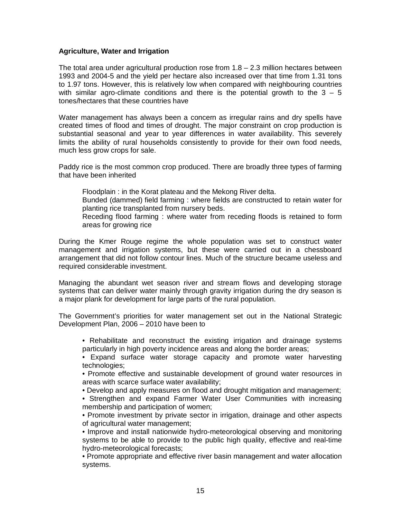### **Agriculture, Water and Irrigation**

The total area under agricultural production rose from 1.8 – 2.3 million hectares between 1993 and 2004-5 and the yield per hectare also increased over that time from 1.31 tons to 1.97 tons. However, this is relatively low when compared with neighbouring countries with similar agro-climate conditions and there is the potential growth to the  $3 - 5$ tones/hectares that these countries have

Water management has always been a concern as irregular rains and dry spells have created times of flood and times of drought. The major constraint on crop production is substantial seasonal and year to year differences in water availability. This severely limits the ability of rural households consistently to provide for their own food needs, much less grow crops for sale.

Paddy rice is the most common crop produced. There are broadly three types of farming that have been inherited

Floodplain : in the Korat plateau and the Mekong River delta.

Bunded (dammed) field farming : where fields are constructed to retain water for planting rice transplanted from nursery beds.

Receding flood farming : where water from receding floods is retained to form areas for growing rice

During the Kmer Rouge regime the whole population was set to construct water management and irrigation systems, but these were carried out in a chessboard arrangement that did not follow contour lines. Much of the structure became useless and required considerable investment.

Managing the abundant wet season river and stream flows and developing storage systems that can deliver water mainly through gravity irrigation during the dry season is a major plank for development for large parts of the rural population.

The Government's priorities for water management set out in the National Strategic Development Plan, 2006 – 2010 have been to

• Rehabilitate and reconstruct the existing irrigation and drainage systems particularly in high poverty incidence areas and along the border areas;

• Expand surface water storage capacity and promote water harvesting technologies;

• Promote effective and sustainable development of ground water resources in areas with scarce surface water availability;

• Develop and apply measures on flood and drought mitigation and management;

• Strengthen and expand Farmer Water User Communities with increasing membership and participation of women;

• Promote investment by private sector in irrigation, drainage and other aspects of agricultural water management;

• Improve and install nationwide hydro-meteorological observing and monitoring systems to be able to provide to the public high quality, effective and real-time hydro-meteorological forecasts;

• Promote appropriate and effective river basin management and water allocation systems.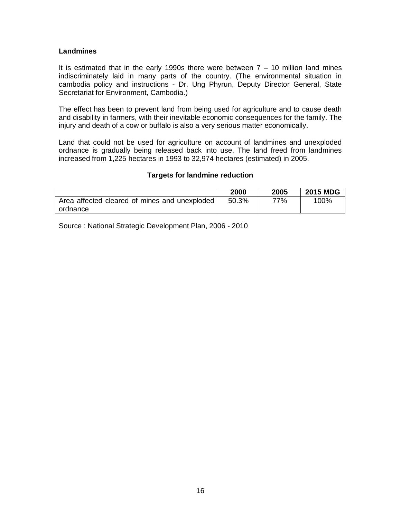### **Landmines**

It is estimated that in the early 1990s there were between  $7 - 10$  million land mines indiscriminately laid in many parts of the country. (The environmental situation in cambodia policy and instructions - [Dr. Ung](http://business.hol.gr/bio/HTML/PUBS/VOL5/html/phy_cam.htm#Phyrun#Phyrun) Phyrun, Deputy Director General, State Secretariat for Environment, Cambodia.)

The effect has been to prevent land from being used for agriculture and to cause death and disability in farmers, with their inevitable economic consequences for the family. The injury and death of a cow or buffalo is also a very serious matter economically.

Land that could not be used for agriculture on account of landmines and unexploded ordnance is gradually being released back into use. The land freed from landmines increased from 1,225 hectares in 1993 to 32,974 hectares (estimated) in 2005.

### **Targets for landmine reduction**

|                                               | 2000  | 2005 | <b>2015 MDG</b> |
|-----------------------------------------------|-------|------|-----------------|
| Area affected cleared of mines and unexploded | 50.3% | 77%  | 100%            |
| ordnance                                      |       |      |                 |

Source : National Strategic Development Plan, 2006 - 2010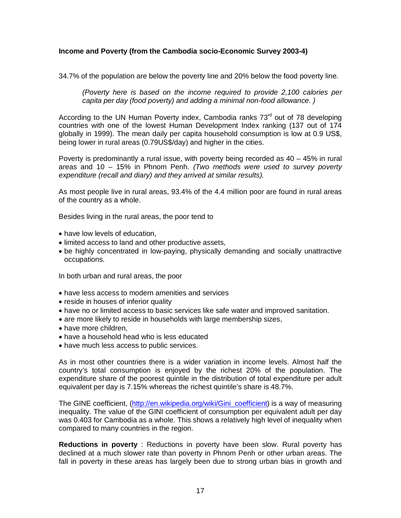# **Income and Poverty (from the Cambodia socio-Economic Survey 2003-4)**

34.7% of the population are below the poverty line and 20% below the food poverty line.

*(Poverty here is based on the income required to provide 2,100 calories per capita per day (food poverty) and adding a minimal non-food allowance. )*

According to the UN Human Poverty index, Cambodia ranks 73<sup>rd</sup> out of 78 developing countries with one of the lowest Human Development Index ranking (137 out of 174 globally in 1999). The mean daily per capita household consumption is low at 0.9 US\$, being lower in rural areas (0.79US\$/day) and higher in the cities.

Poverty is predominantly a rural issue, with poverty being recorded as 40 – 45% in rural areas and 10 – 15% in Phnom Penh. *(Two methods were used to survey poverty expenditure (recall and diary) and they arrived at similar results).*

As most people live in rural areas, 93.4% of the 4.4 million poor are found in rural areas of the country as a whole.

Besides living in the rural areas, the poor tend to

- have low levels of education.
- limited access to land and other productive assets,
- be highly concentrated in low-paying, physically demanding and socially unattractive occupations.

In both urban and rural areas, the poor

- have less access to modern amenities and services
- reside in houses of inferior quality
- have no or limited access to basic services like safe water and improved sanitation.
- are more likely to reside in households with large membership sizes,
- have more children,
- have a household head who is less educated
- have much less access to public services.

As in most other countries there is a wider variation in income levels. Almost half the country's total consumption is enjoyed by the richest 20% of the population. The expenditure share of the poorest quintile in the distribution of total expenditure per adult equivalent per day is 7.15% whereas the richest quintile's share is 48.7%.

The GINE coefficient, [\(http://en.wikipedia.org/wiki/Gini\\_coefficient\)](http://en.wikipedia.org/wiki/Gini_coefficient) is a way of measuring inequality. The value of the GINI coefficient of consumption per equivalent adult per day was 0.403 for Cambodia as a whole. This shows a relatively high level of inequality when compared to many countries in the region.

**Reductions in poverty** : Reductions in poverty have been slow. Rural poverty has declined at a much slower rate than poverty in Phnom Penh or other urban areas. The fall in poverty in these areas has largely been due to strong urban bias in growth and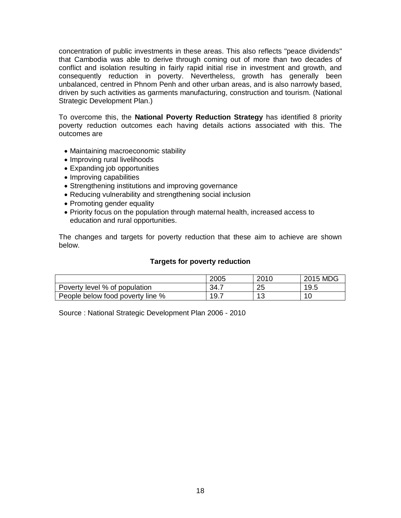concentration of public investments in these areas. This also reflects "peace dividends" that Cambodia was able to derive through coming out of more than two decades of conflict and isolation resulting in fairly rapid initial rise in investment and growth, and consequently reduction in poverty. Nevertheless, growth has generally been unbalanced, centred in Phnom Penh and other urban areas, and is also narrowly based, driven by such activities as garments manufacturing, construction and tourism. (National Strategic Development Plan.)

To overcome this, the **National Poverty Reduction Strategy** has identified 8 priority poverty reduction outcomes each having details actions associated with this. The outcomes are

- Maintaining macroeconomic stability
- Improving rural livelihoods
- Expanding job opportunities
- Improving capabilities
- Strengthening institutions and improving governance
- Reducing vulnerability and strengthening social inclusion
- Promoting gender equality
- Priority focus on the population through maternal health, increased access to education and rural opportunities.

The changes and targets for poverty reduction that these aim to achieve are shown below.

#### **Targets for poverty reduction**

|                                  | 2005 | 2010     | 2015 MDG |
|----------------------------------|------|----------|----------|
| Poverty level % of population    | 34.7 | つに<br>∠J | 19.5     |
| People below food poverty line % | 19.7 | 10<br>ں  |          |

Source : National Strategic Development Plan 2006 - 2010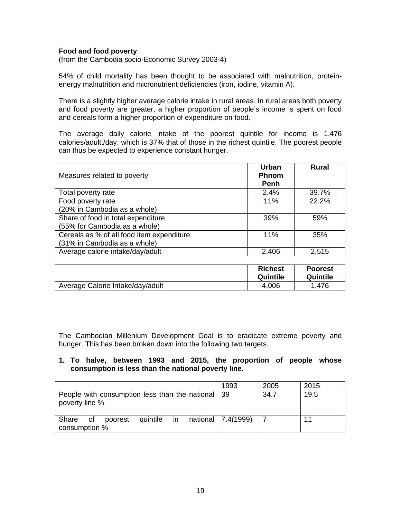# **Food and food poverty**

(from the Cambodia socio-Economic Survey 2003-4)

54% of child mortality has been thought to be associated with malnutrition, proteinenergy malnutrition and micronutrient deficiencies (iron, iodine, vitamin A).

There is a slightly higher average calorie intake in rural areas. In rural areas both poverty and food poverty are greater, a higher proportion of people's income is spent on food and cereals form a higher proportion of expenditure on food.

The average daily calorie intake of the poorest quintile for income is 1,476 calories/adult./day, which is 37% that of those in the richest quintile. The poorest people can thus be expected to experience constant hunger.

| Measures related to poverty               | Urban<br><b>Phnom</b><br><b>Penh</b> | Rural |
|-------------------------------------------|--------------------------------------|-------|
| Total poverty rate                        | 2.4%                                 | 39.7% |
| Food poverty rate                         | 11%                                  | 22.2% |
| (20% in Cambodia as a whole)              |                                      |       |
| Share of food in total expenditure        | 39%                                  | 59%   |
| (55% for Cambodia as a whole)             |                                      |       |
| Cereals as % of all food item expenditure | 11%                                  | 35%   |
| (31% in Cambodia as a whole)              |                                      |       |
| Average calorie intake/day/adult          | 2,406                                | 2,515 |

|                                  | <b>Richest</b><br>Quintile | <b>Poorest</b><br>Quintile |
|----------------------------------|----------------------------|----------------------------|
| Average Calorie Intake/day/adult | 4.006                      | .476                       |

The Cambodian Millenium Development Goal is to eradicate extreme poverty and hunger. This has been broken down into the following two targets.

### **1. To halve, between 1993 and 2015, the proportion of people whose consumption is less than the national poverty line.**

|                                                       | 1993 | 2005 | 2015 |
|-------------------------------------------------------|------|------|------|
| People with consumption less than the national   39   |      | 34.7 | 19.5 |
| poverty line %                                        |      |      |      |
|                                                       |      |      |      |
| quintile in national 7.4(1999)<br>Share of<br>poorest |      |      | 11   |
| consumption %                                         |      |      |      |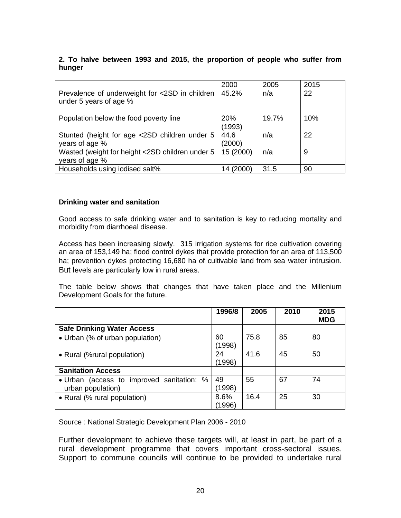# **2. To halve between 1993 and 2015, the proportion of people who suffer from hunger**

|                                                                          | 2000                 | 2005  | 2015 |
|--------------------------------------------------------------------------|----------------------|-------|------|
| Prevalence of underweight for <2SD in children<br>under 5 years of age % | 45.2%                | n/a   | 22   |
| Population below the food poverty line                                   | <b>20%</b><br>(1993) | 19.7% | 10%  |
| Stunted (height for age <2SD children under 5<br>years of age %          | 44.6<br>(2000)       | n/a   | 22   |
| Wasted (weight for height <2SD children under 5<br>years of age %        | 15 (2000)            | n/a   | 9    |
| Households using iodised salt%                                           | 14 (2000)            | 31.5  | 90   |

# **Drinking water and sanitation**

Good access to safe drinking water and to sanitation is key to reducing mortality and morbidity from diarrhoeal disease.

Access has been increasing slowly. 315 irrigation systems for rice cultivation covering an area of 153,149 ha; flood control dykes that provide protection for an area of 113,500 ha; prevention dykes protecting 16,680 ha of cultivable land from sea water intrusion. But levels are particularly low in rural areas.

The table below shows that changes that have taken place and the Millenium Development Goals for the future.

|                                                                | 1996/8        | 2005 | 2010 | 2015<br><b>MDG</b> |
|----------------------------------------------------------------|---------------|------|------|--------------------|
| <b>Safe Drinking Water Access</b>                              |               |      |      |                    |
| • Urban (% of urban population)                                | 60<br>(1998)  | 75.8 | 85   | 80                 |
| • Rural (%rural population)                                    | 24<br>(1998)  | 41.6 | 45   | 50                 |
| <b>Sanitation Access</b>                                       |               |      |      |                    |
| • Urban (access to improved sanitation: %<br>urban population) | 49<br>(1998)  | 55   | 67   | 74                 |
| • Rural (% rural population)                                   | 8.6%<br>(1996 | 16.4 | 25   | 30                 |

Source : National Strategic Development Plan 2006 - 2010

Further development to achieve these targets will, at least in part, be part of a rural development programme that covers important cross-sectoral issues. Support to commune councils will continue to be provided to undertake rural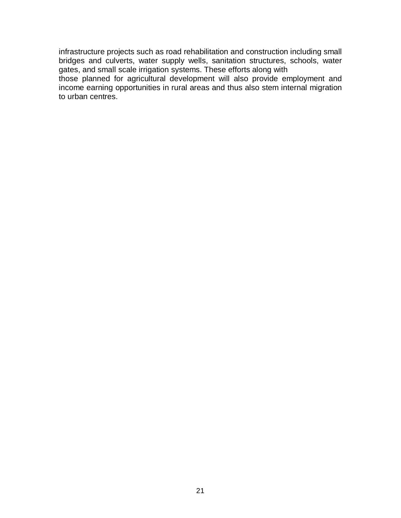infrastructure projects such as road rehabilitation and construction including small bridges and culverts, water supply wells, sanitation structures, schools, water gates, and small scale irrigation systems. These efforts along with

those planned for agricultural development will also provide employment and income earning opportunities in rural areas and thus also stem internal migration to urban centres.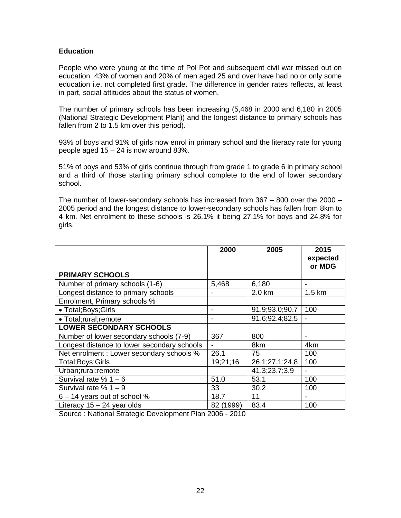# **Education**

People who were young at the time of Pol Pot and subsequent civil war missed out on education. 43% of women and 20% of men aged 25 and over have had no or only some education i.e. not completed first grade. The difference in gender rates reflects, at least in part, social attitudes about the status of women.

The number of primary schools has been increasing (5,468 in 2000 and 6,180 in 2005 (National Strategic Development Plan)) and the longest distance to primary schools has fallen from 2 to 1.5 km over this period).

93% of boys and 91% of girls now enrol in primary school and the literacy rate for young people aged 15 – 24 is now around 83%.

51% of boys and 53% of girls continue through from grade 1 to grade 6 in primary school and a third of those starting primary school complete to the end of lower secondary school.

The number of lower-secondary schools has increased from 367 – 800 over the 2000 – 2005 period and the longest distance to lower-secondary schools has fallen from 8km to 4 km. Net enrolment to these schools is 26.1% it being 27.1% for boys and 24.8% for girls.

|                                             | 2000           | 2005           | 2015             |
|---------------------------------------------|----------------|----------------|------------------|
|                                             |                |                | expected         |
|                                             |                |                | or MDG           |
| <b>PRIMARY SCHOOLS</b>                      |                |                |                  |
| Number of primary schools (1-6)             | 5,468          | 6,180          | $\blacksquare$   |
| Longest distance to primary schools         |                | 2.0 km         | $1.5 \text{ km}$ |
| Enrolment, Primary schools %                |                |                |                  |
| • Total; Boys; Girls                        | $\blacksquare$ | 91.9;93.0;90.7 | 100              |
| · Total;rural;remote                        |                | 91.6;92.4;82.5 |                  |
| <b>LOWER SECONDARY SCHOOLS</b>              |                |                |                  |
| Number of lower secondary schools (7-9)     | 367            | 800            |                  |
| Longest distance to lower secondary schools |                | 8km            | 4km              |
| Net enrolment : Lower secondary schools %   | 26.1           | 75             | 100              |
| Total; Boys; Girls                          | 19;21;16       | 26.1;27.1;24.8 | 100              |
| Urban;rural;remote                          |                | 41.3;23.7;3.9  |                  |
| Survival rate $% 1 - 6$                     | 51.0           | 53.1           | 100              |
| Survival rate $% 1 - 9$                     | 33             | 30.2           | 100              |
| $6 - 14$ years out of school %              | 18.7           | 11             |                  |
| Literacy $15 - 24$ year olds                | 82 (1999)      | 83.4           | 100              |

Source : National Strategic Development Plan 2006 - 2010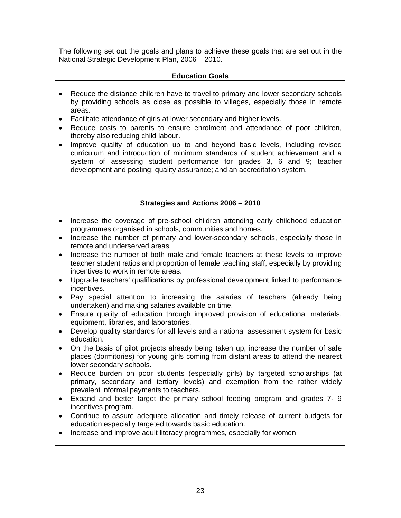The following set out the goals and plans to achieve these goals that are set out in the National Strategic Development Plan, 2006 – 2010.

### **Education Goals**

- Reduce the distance children have to travel to primary and lower secondary schools by providing schools as close as possible to villages, especially those in remote areas.
- Facilitate attendance of girls at lower secondary and higher levels.
- Reduce costs to parents to ensure enrolment and attendance of poor children, thereby also reducing child labour.
- Improve quality of education up to and beyond basic levels, including revised curriculum and introduction of minimum standards of student achievement and a system of assessing student performance for grades 3, 6 and 9; teacher development and posting; quality assurance; and an accreditation system.

# **Strategies and Actions 2006 – 2010**

- Increase the coverage of pre-school children attending early childhood education programmes organised in schools, communities and homes.
- Increase the number of primary and lower-secondary schools, especially those in remote and underserved areas.
- Increase the number of both male and female teachers at these levels to improve teacher student ratios and proportion of female teaching staff, especially by providing incentives to work in remote areas.
- Upgrade teachers' qualifications by professional development linked to performance incentives.
- Pay special attention to increasing the salaries of teachers (already being undertaken) and making salaries available on time.
- Ensure quality of education through improved provision of educational materials, equipment, libraries, and laboratories.
- Develop quality standards for all levels and a national assessment system for basic education.
- On the basis of pilot projects already being taken up, increase the number of safe places (dormitories) for young girls coming from distant areas to attend the nearest lower secondary schools.
- Reduce burden on poor students (especially girls) by targeted scholarships (at primary, secondary and tertiary levels) and exemption from the rather widely prevalent informal payments to teachers.
- Expand and better target the primary school feeding program and grades 7- 9 incentives program.
- Continue to assure adequate allocation and timely release of current budgets for education especially targeted towards basic education.
- Increase and improve adult literacy programmes, especially for women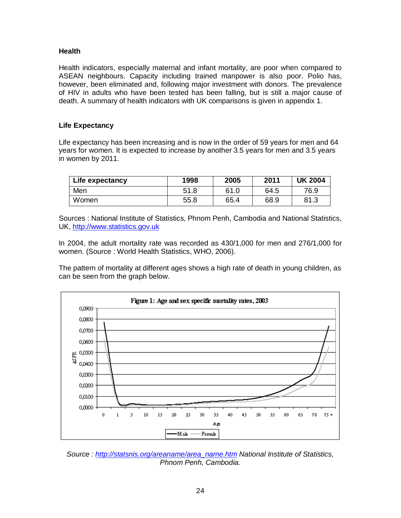# **Health**

Health indicators, especially maternal and infant mortality, are poor when compared to ASEAN neighbours. Capacity including trained manpower is also poor. Polio has, however, been eliminated and, following major investment with donors. The prevalence of HIV in adults who have been tested has been falling, but is still a major cause of death. A summary of health indicators with UK comparisons is given in appendix 1.

# **Life Expectancy**

Life expectancy has been increasing and is now in the order of 59 years for men and 64 years for women. It is expected to increase by another 3.5 years for men and 3.5 years in women by 2011.

| Life expectancy | 1998 | 2005 | 2011 | <b>UK 2004</b> |
|-----------------|------|------|------|----------------|
| Men             | 51.8 | 61.0 | 64.5 | 76.9           |
| Women           | 55.8 | 65.4 | 68.9 | 81.3           |

Sources : National Institute of Statistics, Phnom Penh, Cambodia and National Statistics, UK, [http://www.statistics.gov.uk](http://www.statistics.gov.uk/)

In 2004, the adult mortality rate was recorded as 430/1,000 for men and 276/1,000 for women. (Source : World Health Statistics, WHO, 2006).

The pattern of mortality at different ages shows a high rate of death in young children, as can be seen from the graph below.



*Source : [http://statsnis.org/areaname/area\\_name.htm](http://statsnis.org/areaname/area_name.htm) National Institute of Statistics, Phnom Penh, Cambodia.*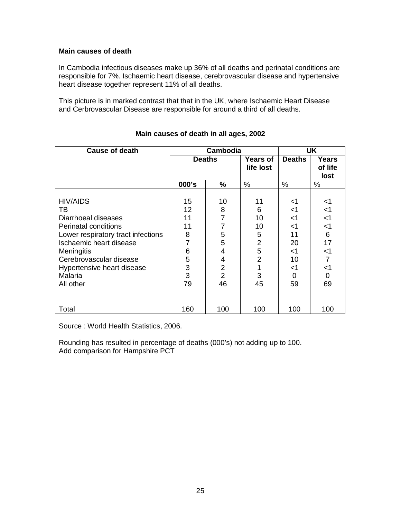### **Main causes of death**

In Cambodia infectious diseases make up 36% of all deaths and perinatal conditions are responsible for 7%. Ischaemic heart disease, cerebrovascular disease and hypertensive heart disease together represent 11% of all deaths.

This picture is in marked contrast that that in the UK, where Ischaemic Heart Disease and Cerbrovascular Disease are responsible for around a third of all deaths.

| <b>Cause of death</b>                                                                                                                                                                                                                       | Cambodia                                                 |                                                                       |                                                                              |                                                                        | <b>UK</b>                                                                                           |
|---------------------------------------------------------------------------------------------------------------------------------------------------------------------------------------------------------------------------------------------|----------------------------------------------------------|-----------------------------------------------------------------------|------------------------------------------------------------------------------|------------------------------------------------------------------------|-----------------------------------------------------------------------------------------------------|
|                                                                                                                                                                                                                                             | <b>Deaths</b>                                            |                                                                       | <b>Years of</b><br>life lost                                                 | <b>Deaths</b>                                                          | <b>Years</b><br>of life<br>lost                                                                     |
|                                                                                                                                                                                                                                             | 000's                                                    | %                                                                     | %                                                                            | $\%$                                                                   | $\%$                                                                                                |
| <b>HIV/AIDS</b><br>TB<br>Diarrhoeal diseases<br><b>Perinatal conditions</b><br>Lower respiratory tract infections<br>Ischaemic heart disease<br>Meningitis<br>Cerebrovascular disease<br>Hypertensive heart disease<br>Malaria<br>All other | 15<br>12<br>11<br>11<br>8<br>7<br>6<br>5<br>3<br>3<br>79 | 10<br>8<br>5<br>5<br>4<br>4<br>$\overline{2}$<br>$\overline{2}$<br>46 | 11<br>6<br>10<br>10<br>5<br>$\overline{2}$<br>5<br>$\overline{2}$<br>3<br>45 | $<$ 1<br>$<$ 1<br>$<$ 1<br><1<br>11<br>20<br>-1<br>10<br><1<br>0<br>59 | <1<br><1<br>$\leq$ 1<br><1<br>$6\phantom{1}6$<br>17<br><1<br>$\overline{7}$<br><1<br>$\Omega$<br>69 |
| Total                                                                                                                                                                                                                                       | 160                                                      | 100                                                                   | 100                                                                          | 100                                                                    | 100                                                                                                 |

### **Main causes of death in all ages, 2002**

Source : World Health Statistics, 2006.

Rounding has resulted in percentage of deaths (000's) not adding up to 100. Add comparison for Hampshire PCT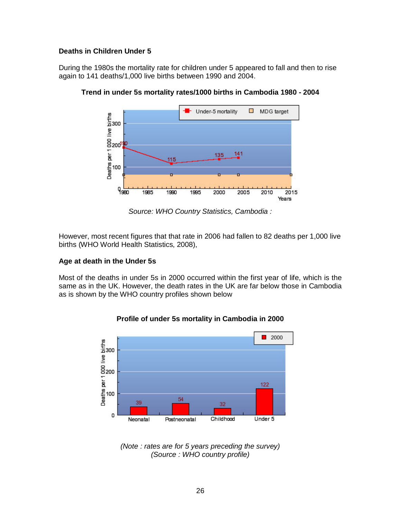# **Deaths in Children Under 5**

During the 1980s the mortality rate for children under 5 appeared to fall and then to rise again to 141 deaths/1,000 live births between 1990 and 2004.



**Trend in under 5s mortality rates/1000 births in Cambodia 1980 - 2004**

*Source: WHO Country Statistics, Cambodia :*

However, most recent figures that that rate in 2006 had fallen to 82 deaths per 1,000 live births (WHO World Health Statistics, 2008),

# **Age at death in the Under 5s**

Most of the deaths in under 5s in 2000 occurred within the first year of life, which is the same as in the UK. However, the death rates in the UK are far below those in Cambodia as is shown by the WHO country profiles shown below



# **Profile of under 5s mortality in Cambodia in 2000**

*<sup>(</sup>Note : rates are for 5 years preceding the survey) (Source : WHO country profile)*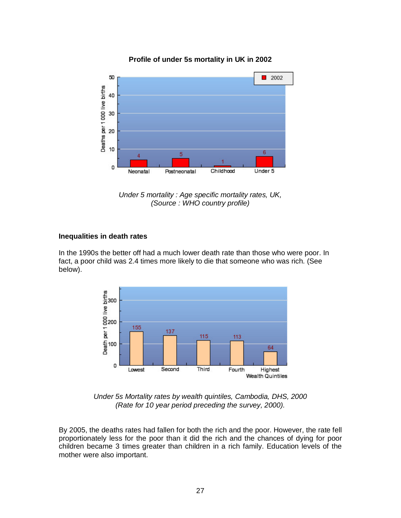

# **Profile of under 5s mortality in UK in 2002**

*Under 5 mortality : Age specific mortality rates, UK, (Source : WHO country profile)*

# **Inequalities in death rates**

In the 1990s the better off had a much lower death rate than those who were poor. In fact, a poor child was 2.4 times more likely to die that someone who was rich. (See below).



*Under 5s Mortality rates by wealth quintiles, Cambodia, DHS, 2000 (Rate for 10 year period preceding the survey, 2000).*

By 2005, the deaths rates had fallen for both the rich and the poor. However, the rate fell proportionately less for the poor than it did the rich and the chances of dying for poor children became 3 times greater than children in a rich family. Education levels of the mother were also important.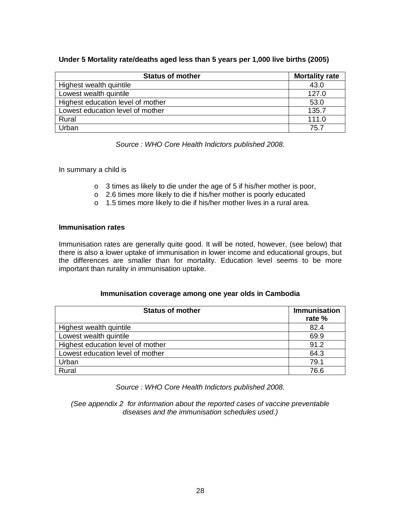# **Under 5 Mortality rate/deaths aged less than 5 years per 1,000 live births (2005)**

| <b>Status of mother</b>           | <b>Mortality rate</b> |
|-----------------------------------|-----------------------|
| Highest wealth quintile           | 43.0                  |
| Lowest wealth quintile            | 127.0                 |
| Highest education level of mother | 53.0                  |
| Lowest education level of mother  | 135.7                 |
| Rural                             | 111.0                 |
| Urban                             | 75.7                  |

*Source : WHO Core Health Indictors published 2008.*

In summary a child is

- o 3 times as likely to die under the age of 5 if his/her mother is poor,
- o 2.6 times more likely to die if his/her mother is poorly educated
- o 1.5 times more likely to die if his/her mother lives in a rural area.

#### **Immunisation rates**

Immunisation rates are generally quite good. It will be noted, however, (see below) that there is also a lower uptake of immunisation in lower income and educational groups, but the differences are smaller than for mortality. Education level seems to be more important than rurality in immunisation uptake.

# **Immunisation coverage among one year olds in Cambodia**

| <b>Status of mother</b>           | <b>Immunisation</b><br>rate % |
|-----------------------------------|-------------------------------|
| Highest wealth quintile           | 82.4                          |
| Lowest wealth quintile            | 69.9                          |
| Highest education level of mother | 91.2                          |
| Lowest education level of mother  | 64.3                          |
| Urban                             | 79.1                          |
| Rural                             | 76.6                          |

*Source : WHO Core Health Indictors published 2008.*

*(See appendix 2 for information about the reported cases of vaccine preventable diseases and the immunisation schedules used.)*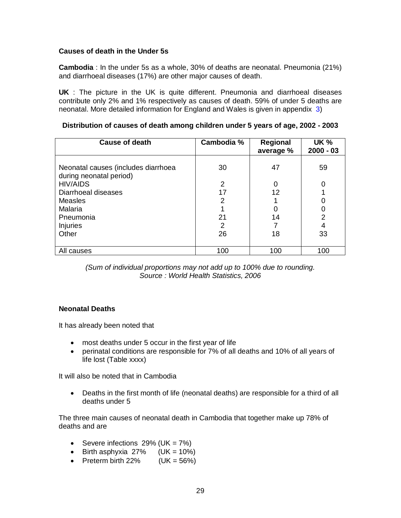# **Causes of death in the Under 5s**

**Cambodia** : In the under 5s as a whole, 30% of deaths are neonatal. Pneumonia (21%) and diarrhoeal diseases (17%) are other major causes of death.

**UK** : The picture in the UK is quite different. Pneumonia and diarrhoeal diseases contribute only 2% and 1% respectively as causes of death. 59% of under 5 deaths are neonatal. More detailed information for England and Wales is given in appendix 3)

| <b>Cause of death</b>                                          | Cambodia % | <b>Regional</b><br>average % | <b>UK %</b><br>$2000 - 03$ |
|----------------------------------------------------------------|------------|------------------------------|----------------------------|
| Neonatal causes (includes diarrhoea<br>during neonatal period) | 30         | 47                           | 59                         |
| <b>HIV/AIDS</b>                                                | 2          | 0                            | 0                          |
| Diarrhoeal diseases                                            | 17         | 12                           |                            |
| Measles                                                        | 2          |                              | 0                          |
| Malaria                                                        |            | 0                            | 0                          |
| Pneumonia                                                      | 21         | 14                           | $\overline{2}$             |
| <b>Injuries</b>                                                | 2          |                              | 4                          |
| Other                                                          | 26         | 18                           | 33                         |
|                                                                |            |                              |                            |
| All causes                                                     | 100        | 100                          | 100                        |

**Distribution of causes of death among children under 5 years of age, 2002 - 2003**

*(Sum of individual proportions may not add up to 100% due to rounding. Source : World Health Statistics, 2006*

# **Neonatal Deaths**

It has already been noted that

- most deaths under 5 occur in the first year of life
- perinatal conditions are responsible for 7% of all deaths and 10% of all years of life lost (Table xxxx)

It will also be noted that in Cambodia

• Deaths in the first month of life (neonatal deaths) are responsible for a third of all deaths under 5

The three main causes of neonatal death in Cambodia that together make up 78% of deaths and are

- Severe infections  $29\%$  (UK =  $7\%$ )
- Birth asphyxia  $27\%$  (UK = 10%)
- Preterm birth  $22\%$  (UK =  $56\%$ )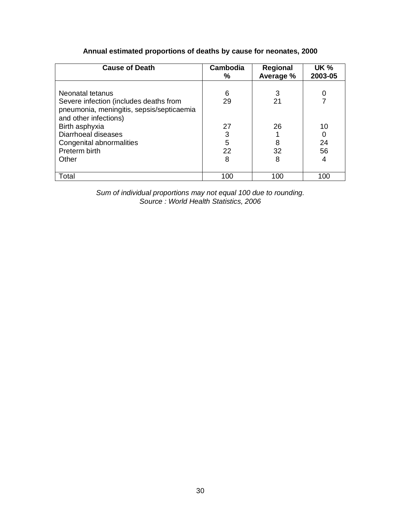# **Annual estimated proportions of deaths by cause for neonates, 2000**

| <b>Cause of Death</b>                                                                                                                                                                                                           | Cambodia<br>%                      | Regional<br>Average %    | <b>UK %</b><br>2003-05 |
|---------------------------------------------------------------------------------------------------------------------------------------------------------------------------------------------------------------------------------|------------------------------------|--------------------------|------------------------|
| Neonatal tetanus<br>Severe infection (includes deaths from<br>pneumonia, meningitis, sepsis/septicaemia<br>and other infections)<br>Birth asphyxia<br>Diarrhoeal diseases<br>Congenital abnormalities<br>Preterm birth<br>Other | 6<br>29<br>27<br>3<br>5<br>22<br>8 | 21<br>26<br>8<br>32<br>8 | 10<br>24<br>56<br>4    |
| Total                                                                                                                                                                                                                           | 100                                | 100                      | 100                    |

*Sum of individual proportions may not equal 100 due to rounding. Source : World Health Statistics, 2006*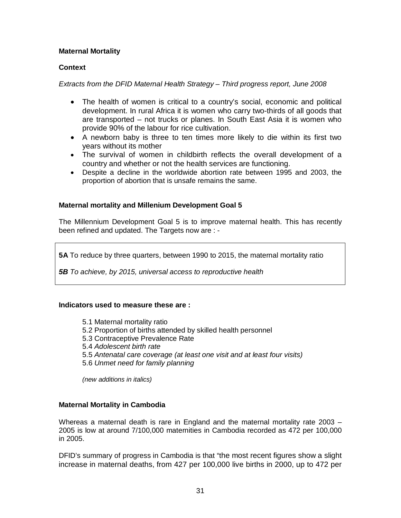# **Maternal Mortality**

# **Context**

### *Extracts from the DFID Maternal Health Strategy – Third progress report, June 2008*

- The health of women is critical to a country's social, economic and political development. In rural Africa it is women who carry two-thirds of all goods that are transported – not trucks or planes. In South East Asia it is women who provide 90% of the labour for rice cultivation.
- A newborn baby is three to ten times more likely to die within its first two years without its mother
- The survival of women in childbirth reflects the overall development of a country and whether or not the health services are functioning.
- Despite a decline in the worldwide abortion rate between 1995 and 2003, the proportion of abortion that is unsafe remains the same.

# **Maternal mortality and Millenium Development Goal 5**

The Millennium Development Goal 5 is to improve maternal health. This has recently been refined and updated. The Targets now are : -

**5A** To reduce by three quarters, between 1990 to 2015, the maternal mortality ratio

*5B To achieve, by 2015, universal access to reproductive health* 

#### **Indicators used to measure these are :**

5.1 Maternal mortality ratio 5.2 Proportion of births attended by skilled health personnel 5.3 Contraceptive Prevalence Rate 5.4 *Adolescent birth rate*  5.5 *Antenatal care coverage (at least one visit and at least four visits)*  5.6 *Unmet need for family planning (new additions in italics)* 

# **Maternal Mortality in Cambodia**

Whereas a maternal death is rare in England and the maternal mortality rate 2003 – 2005 is low at around 7/100,000 maternities in Cambodia recorded as 472 per 100,000 in 2005.

DFID's summary of progress in Cambodia is that "the most recent figures show a slight increase in maternal deaths, from 427 per 100,000 live births in 2000, up to 472 per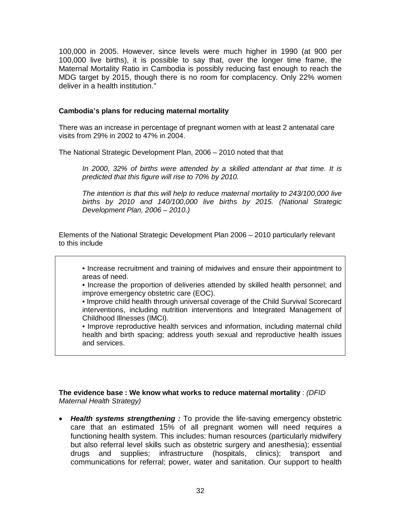100,000 in 2005. However, since levels were much higher in 1990 (at 900 per 100,000 live births), it is possible to say that, over the longer time frame, the Maternal Mortality Ratio in Cambodia is possibly reducing fast enough to reach the MDG target by 2015, though there is no room for complacency. Only 22% women deliver in a health institution."

### **Cambodia's plans for reducing maternal mortality**

There was an increase in percentage of pregnant women with at least 2 antenatal care visits from 29% in 2002 to 47% in 2004.

The National Strategic Development Plan, 2006 – 2010 noted that that

*In 2000, 32% of births were attended by a skilled attendant at that time. It is predicted that this figure will rise to 70% by 2010.* 

*The intention is that this will help to reduce maternal mortality to 243/100,000 live births by 2010 and 140/100,000 live births by 2015. (National Strategic Development Plan, 2006 – 2010.)*

Elements of the National Strategic Development Plan 2006 – 2010 particularly relevant to this include

• Increase recruitment and training of midwives and ensure their appointment to areas of need.

• Increase the proportion of deliveries attended by skilled health personnel; and improve emergency obstetric care (EOC).

• Improve child health through universal coverage of the Child Survival Scorecard interventions, including nutrition interventions and Integrated Management of Childhood Illnesses (IMCI).

• Improve reproductive health services and information, including maternal child health and birth spacing; address youth sexual and reproductive health issues and services.

# **The evidence base : We know what works to reduce maternal mortality** : *(DFID Maternal Health Strategy)*

• *Health systems strengthening :* To provide the life-saving emergency obstetric care that an estimated 15% of all pregnant women will need requires a functioning health system. This includes: human resources (particularly midwifery but also referral level skills such as obstetric surgery and anesthesia); essential drugs and supplies; infrastructure (hospitals, clinics); transport and communications for referral; power, water and sanitation. Our support to health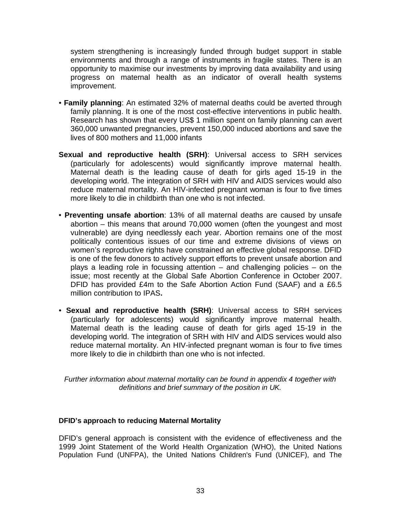system strengthening is increasingly funded through budget support in stable environments and through a range of instruments in fragile states. There is an opportunity to maximise our investments by improving data availability and using progress on maternal health as an indicator of overall health systems improvement.

- **Family planning**: An estimated 32% of maternal deaths could be averted through family planning. It is one of the most cost-effective interventions in public health. Research has shown that every US\$ 1 million spent on family planning can avert 360,000 unwanted pregnancies, prevent 150,000 induced abortions and save the lives of 800 mothers and 11,000 infants
- **Sexual and reproductive health (SRH)**: Universal access to SRH services (particularly for adolescents) would significantly improve maternal health. Maternal death is the leading cause of death for girls aged 15-19 in the developing world. The integration of SRH with HIV and AIDS services would also reduce maternal mortality. An HIV-infected pregnant woman is four to five times more likely to die in childbirth than one who is not infected.
- **Preventing unsafe abortion**: 13% of all maternal deaths are caused by unsafe abortion – this means that around 70,000 women (often the youngest and most vulnerable) are dying needlessly each year. Abortion remains one of the most politically contentious issues of our time and extreme divisions of views on women's reproductive rights have constrained an effective global response. DFID is one of the few donors to actively support efforts to prevent unsafe abortion and plays a leading role in focussing attention – and challenging policies – on the issue; most recently at the Global Safe Abortion Conference in October 2007. DFID has provided £4m to the Safe Abortion Action Fund (SAAF) and a £6.5 million contribution to IPAS**.**
- **Sexual and reproductive health (SRH)**: Universal access to SRH services (particularly for adolescents) would significantly improve maternal health. Maternal death is the leading cause of death for girls aged 15-19 in the developing world. The integration of SRH with HIV and AIDS services would also reduce maternal mortality. An HIV-infected pregnant woman is four to five times more likely to die in childbirth than one who is not infected.

*Further information about maternal mortality can be found in appendix 4 together with definitions and brief summary of the position in UK.*

# **DFID's approach to reducing Maternal Mortality**

DFID's general approach is consistent with the evidence of effectiveness and the 1999 Joint Statement of the World Health Organization (WHO), the United Nations Population Fund (UNFPA), the United Nations Children's Fund (UNICEF), and The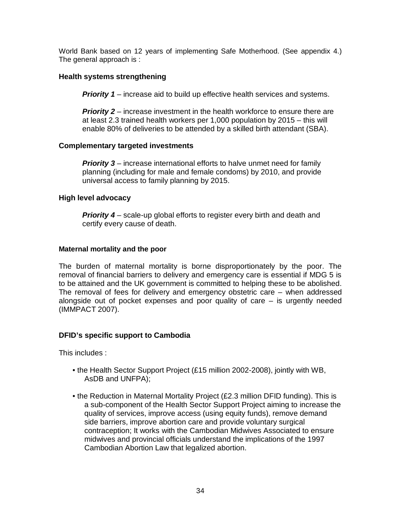World Bank based on 12 years of implementing Safe Motherhood. (See appendix 4.) The general approach is :

# **Health systems strengthening**

**Priority 1** – increase aid to build up effective health services and systems.

**Priority 2** – increase investment in the health workforce to ensure there are at least 2.3 trained health workers per 1,000 population by 2015 – this will enable 80% of deliveries to be attended by a skilled birth attendant (SBA).

# **Complementary targeted investments**

**Priority 3** – increase international efforts to halve unmet need for family planning (including for male and female condoms) by 2010, and provide universal access to family planning by 2015.

# **High level advocacy**

**Priority 4** – scale-up global efforts to register every birth and death and certify every cause of death.

# **Maternal mortality and the poor**

The burden of maternal mortality is borne disproportionately by the poor. The removal of financial barriers to delivery and emergency care is essential if MDG 5 is to be attained and the UK government is committed to helping these to be abolished. The removal of fees for delivery and emergency obstetric care – when addressed alongside out of pocket expenses and poor quality of care – is urgently needed (IMMPACT 2007).

# **DFID's specific support to Cambodia**

This includes :

- the Health Sector Support Project (£15 million 2002-2008), jointly with WB, AsDB and UNFPA);
- the Reduction in Maternal Mortality Project (£2.3 million DFID funding). This is a sub-component of the Health Sector Support Project aiming to increase the quality of services, improve access (using equity funds), remove demand side barriers, improve abortion care and provide voluntary surgical contraception; It works with the Cambodian Midwives Associated to ensure midwives and provincial officials understand the implications of the 1997 Cambodian Abortion Law that legalized abortion.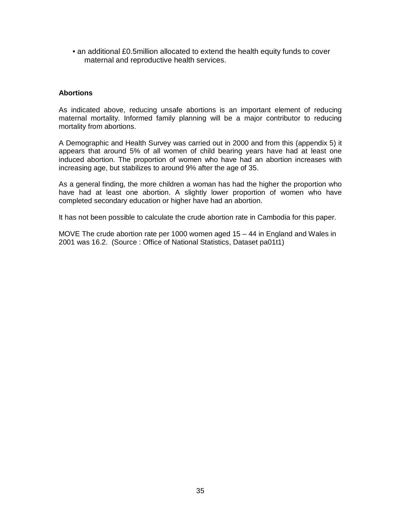• an additional £0.5million allocated to extend the health equity funds to cover maternal and reproductive health services.

### **Abortions**

As indicated above, reducing unsafe abortions is an important element of reducing maternal mortality. Informed family planning will be a major contributor to reducing mortality from abortions.

A Demographic and Health Survey was carried out in 2000 and from this (appendix 5) it appears that around 5% of all women of child bearing years have had at least one induced abortion. The proportion of women who have had an abortion increases with increasing age, but stabilizes to around 9% after the age of 35.

As a general finding, the more children a woman has had the higher the proportion who have had at least one abortion. A slightly lower proportion of women who have completed secondary education or higher have had an abortion.

It has not been possible to calculate the crude abortion rate in Cambodia for this paper.

MOVE The crude abortion rate per 1000 women aged 15 – 44 in England and Wales in 2001 was 16.2. (Source : Office of National Statistics, Dataset pa01t1)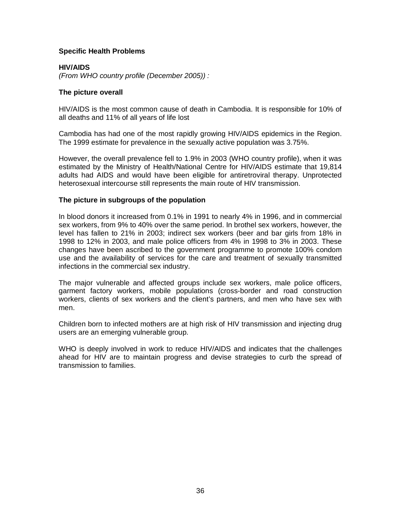### **Specific Health Problems**

### **HIV/AIDS**

*(From WHO country profile (December 2005)) :* 

#### **The picture overall**

HIV/AIDS is the most common cause of death in Cambodia. It is responsible for 10% of all deaths and 11% of all years of life lost

Cambodia has had one of the most rapidly growing HIV/AIDS epidemics in the Region. The 1999 estimate for prevalence in the sexually active population was 3.75%.

However, the overall prevalence fell to 1.9% in 2003 (WHO country profile), when it was estimated by the Ministry of Health/National Centre for HIV/AIDS estimate that 19,814 adults had AIDS and would have been eligible for antiretroviral therapy. Unprotected heterosexual intercourse still represents the main route of HIV transmission.

#### **The picture in subgroups of the population**

In blood donors it increased from 0.1% in 1991 to nearly 4% in 1996, and in commercial sex workers, from 9% to 40% over the same period. In brothel sex workers, however, the level has fallen to 21% in 2003; indirect sex workers (beer and bar girls from 18% in 1998 to 12% in 2003, and male police officers from 4% in 1998 to 3% in 2003. These changes have been ascribed to the government programme to promote 100% condom use and the availability of services for the care and treatment of sexually transmitted infections in the commercial sex industry.

The major vulnerable and affected groups include sex workers, male police officers, garment factory workers, mobile populations (cross-border and road construction workers, clients of sex workers and the client's partners, and men who have sex with men.

Children born to infected mothers are at high risk of HIV transmission and injecting drug users are an emerging vulnerable group.

WHO is deeply involved in work to reduce HIV/AIDS and indicates that the challenges ahead for HIV are to maintain progress and devise strategies to curb the spread of transmission to families.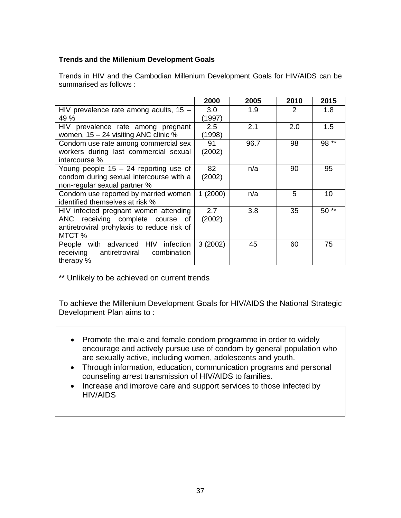# **Trends and the Millenium Development Goals**

Trends in HIV and the Cambodian Millenium Development Goals for HIV/AIDS can be summarised as follows :

|                                             | 2000    | 2005 | 2010 | 2015   |
|---------------------------------------------|---------|------|------|--------|
| HIV prevalence rate among adults, $15 -$    | 3.0     | 1.9  | 2    | 1.8    |
| 49 %                                        | (1997)  |      |      |        |
| HIV prevalence rate among pregnant          | 2.5     | 2.1  | 2.0  | 1.5    |
| women, $15 - 24$ visiting ANC clinic %      | (1998)  |      |      |        |
| Condom use rate among commercial sex        | 91      | 96.7 | 98   | 98 **  |
| workers during last commercial sexual       | (2002)  |      |      |        |
| intercourse %                               |         |      |      |        |
| Young people $15 - 24$ reporting use of     | 82      | n/a  | 90   | 95     |
| condom during sexual intercourse with a     | (2002)  |      |      |        |
| non-regular sexual partner %                |         |      |      |        |
| Condom use reported by married women        | 1(2000) | n/a  | 5    | 10     |
| identified themselves at risk %             |         |      |      |        |
| HIV infected pregnant women attending       | 2.7     | 3.8  | 35   | $50**$ |
| ANC receiving complete course<br>0f         | (2002)  |      |      |        |
| antiretroviral prohylaxis to reduce risk of |         |      |      |        |
| MTCT %                                      |         |      |      |        |
| People with advanced HIV<br>infection       | 3(2002) | 45   | 60   | 75     |
| receiving<br>combination<br>antiretroviral  |         |      |      |        |
| therapy %                                   |         |      |      |        |

\*\* Unlikely to be achieved on current trends

To achieve the Millenium Development Goals for HIV/AIDS the National Strategic Development Plan aims to :

- Promote the male and female condom programme in order to widely encourage and actively pursue use of condom by general population who are sexually active, including women, adolescents and youth.
- Through information, education, communication programs and personal counseling arrest transmission of HIV/AIDS to families.
- Increase and improve care and support services to those infected by HIV/AIDS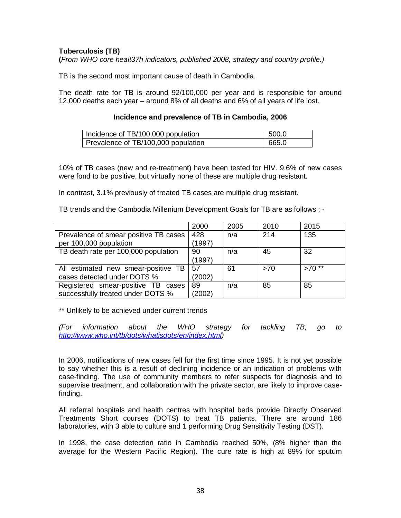# **Tuberculosis (TB)**

**(***From WHO core healt37h indicators, published 2008, strategy and country profile.)*

TB is the second most important cause of death in Cambodia.

The death rate for TB is around 92/100,000 per year and is responsible for around 12,000 deaths each year – around 8% of all deaths and 6% of all years of life lost.

#### **Incidence and prevalence of TB in Cambodia, 2006**

| Incidence of TB/100,000 population  | 1500.0 |
|-------------------------------------|--------|
| Prevalence of TB/100,000 population | 665.0  |

10% of TB cases (new and re-treatment) have been tested for HIV. 9.6% of new cases were fond to be positive, but virtually none of these are multiple drug resistant.

In contrast, 3.1% previously of treated TB cases are multiple drug resistant.

TB trends and the Cambodia Millenium Development Goals for TB are as follows : -

|                                       | 2000   | 2005 | 2010 | 2015    |
|---------------------------------------|--------|------|------|---------|
| Prevalence of smear positive TB cases | 428    | n/a  | 214  | 135     |
| per 100,000 population                | (1997) |      |      |         |
| TB death rate per 100,000 population  | 90     | n/a  | 45   | 32      |
|                                       | (1997) |      |      |         |
| All estimated new smear-positive TB   | 57     | 61   | >70  | $>70**$ |
| cases detected under DOTS %           | (2002) |      |      |         |
| Registered smear-positive TB cases    | 89     | n/a  | 85   | 85      |
| successfully treated under DOTS %     | (2002) |      |      |         |

\*\* Unlikely to be achieved under current trends

*(For information about the WHO strategy for tackling TB, go to [http://www.who.int/tb/dots/whatisdots/en/index.html\)](http://www.who.int/tb/dots/whatisdots/en/index.html)*

In 2006, notifications of new cases fell for the first time since 1995. It is not yet possible to say whether this is a result of declining incidence or an indication of problems with case-finding. The use of community members to refer suspects for diagnosis and to supervise treatment, and collaboration with the private sector, are likely to improve casefinding.

All referral hospitals and health centres with hospital beds provide Directly Observed Treatments Short courses (DOTS) to treat TB patients. There are around 186 laboratories, with 3 able to culture and 1 performing Drug Sensitivity Testing (DST).

In 1998, the case detection ratio in Cambodia reached 50%, (8% higher than the average for the Western Pacific Region). The cure rate is high at 89% for sputum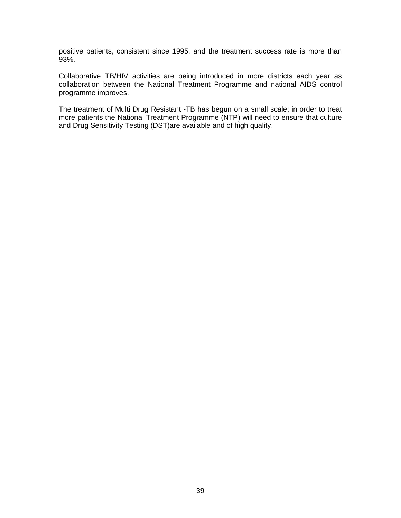positive patients, consistent since 1995, and the treatment success rate is more than 93%.

Collaborative TB/HIV activities are being introduced in more districts each year as collaboration between the National Treatment Programme and national AIDS control programme improves.

The treatment of Multi Drug Resistant -TB has begun on a small scale; in order to treat more patients the National Treatment Programme (NTP) will need to ensure that culture and Drug Sensitivity Testing (DST)are available and of high quality.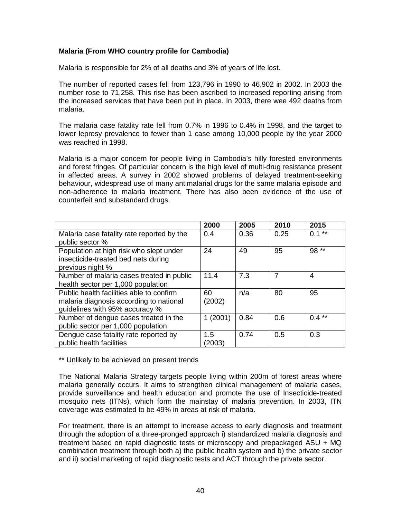# **Malaria (From WHO country profile for Cambodia)**

Malaria is responsible for 2% of all deaths and 3% of years of life lost.

The number of reported cases fell from 123,796 in 1990 to 46,902 in 2002. In 2003 the number rose to 71,258. This rise has been ascribed to increased reporting arising from the increased services that have been put in place. In 2003, there wee 492 deaths from malaria.

The malaria case fatality rate fell from 0.7% in 1996 to 0.4% in 1998, and the target to lower leprosy prevalence to fewer than 1 case among 10,000 people by the year 2000 was reached in 1998.

Malaria is a major concern for people living in Cambodia's hilly forested environments and forest fringes. Of particular concern is the high level of multi-drug resistance present in affected areas. A survey in 2002 showed problems of delayed treatment-seeking behaviour, widespread use of many antimalarial drugs for the same malaria episode and non-adherence to malaria treatment. There has also been evidence of the use of counterfeit and substandard drugs.

|                                                                                                                       | 2000         | 2005 | 2010           | 2015     |
|-----------------------------------------------------------------------------------------------------------------------|--------------|------|----------------|----------|
| Malaria case fatality rate reported by the<br>public sector %                                                         | 0.4          | 0.36 | 0.25           | $0.1***$ |
| Population at high risk who slept under<br>insecticide-treated bed nets during<br>previous night %                    | 24           | 49   | 95             | 98 **    |
| Number of malaria cases treated in public<br>health sector per 1,000 population                                       | 11.4         | 7.3  | $\overline{7}$ | 4        |
| Public health facilities able to confirm<br>malaria diagnosis according to national<br>guidelines with 95% accuracy % | 60<br>(2002) | n/a  | 80             | 95       |
| Number of dengue cases treated in the<br>public sector per 1,000 population                                           | 1(2001)      | 0.84 | 0.6            | $0.4***$ |
| Dengue case fatality rate reported by<br>public health facilities                                                     | 1.5<br>2003  | 0.74 | 0.5            | 0.3      |

\*\* Unlikely to be achieved on present trends

The National Malaria Strategy targets people living within 200m of forest areas where malaria generally occurs. It aims to strengthen clinical management of malaria cases, provide surveillance and health education and promote the use of Insecticide-treated mosquito nets (ITNs), which form the mainstay of malaria prevention. In 2003, ITN coverage was estimated to be 49% in areas at risk of malaria.

For treatment, there is an attempt to increase access to early diagnosis and treatment through the adoption of a three-pronged approach i) standardized malaria diagnosis and treatment based on rapid diagnostic tests or microscopy and prepackaged ASU + MQ combination treatment through both a) the public health system and b) the private sector and ii) social marketing of rapid diagnostic tests and ACT through the private sector.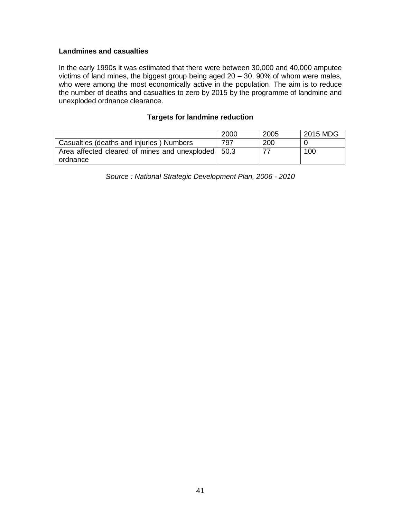### **Landmines and casualties**

In the early 1990s it was estimated that there were between 30,000 and 40,000 amputee victims of land mines, the biggest group being aged  $20 - 30$ ,  $90\%$  of whom were males, who were among the most economically active in the population. The aim is to reduce the number of deaths and casualties to zero by 2015 by the programme of landmine and unexploded ordnance clearance.

# **Targets for landmine reduction**

| 2005 | 2015 MDG |
|------|----------|
| 200  |          |
|      | 100      |
|      |          |

*Source : National Strategic Development Plan, 2006 - 2010*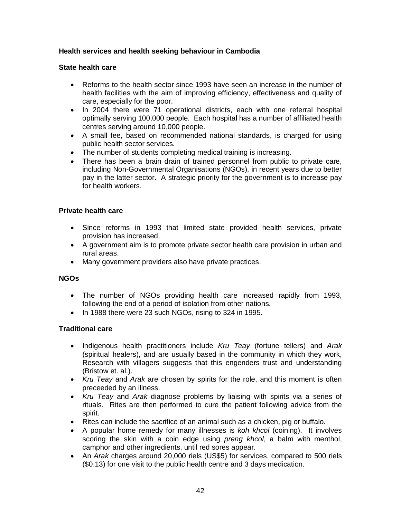# **Health services and health seeking behaviour in Cambodia**

# **State health care**

- Reforms to the health sector since 1993 have seen an increase in the number of health facilities with the aim of improving efficiency, effectiveness and quality of care, especially for the poor.
- In 2004 there were 71 operational districts, each with one referral hospital optimally serving 100,000 people. Each hospital has a number of affiliated health centres serving around 10,000 people.
- A small fee, based on recommended national standards, is charged for using public health sector services.
- The number of students completing medical training is increasing.
- There has been a brain drain of trained personnel from public to private care, including Non-Governmental Organisations (NGOs), in recent years due to better pay in the latter sector. A strategic priority for the government is to increase pay for health workers.

### **Private health care**

- Since reforms in 1993 that limited state provided health services, private provision has increased.
- A government aim is to promote private sector health care provision in urban and rural areas.
- Many government providers also have private practices.

# **NGOs**

- The number of NGOs providing health care increased rapidly from 1993, following the end of a period of isolation from other nations.
- In 1988 there were 23 such NGOs, rising to 324 in 1995.

# **Traditional care**

- Indigenous health practitioners include *Kru Teay* (fortune tellers) and *Arak*  (spiritual healers), and are usually based in the community in which they work, Research with villagers suggests that this engenders trust and understanding (Bristow et. al.).
- *Kru Teay* and *Arak* are chosen by spirits for the role, and this moment is often preceeded by an illness.
- *Kru Teay* and *Arak* diagnose problems by liaising with spirits via a series of rituals. Rites are then performed to cure the patient following advice from the spirit.
- Rites can include the sacrifice of an animal such as a chicken, pig or buffalo.
- A popular home remedy for many illnesses is *koh khcol* (coining). It involves scoring the skin with a coin edge using *preng khcol*, a balm with menthol, camphor and other ingredients, until red sores appear.
- An *Arak* charges around 20,000 riels (US\$5) for services, compared to 500 riels (\$0.13) for one visit to the public health centre and 3 days medication.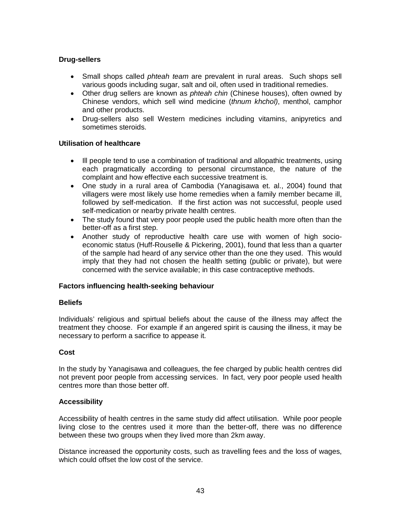# **Drug-sellers**

- Small shops called *phteah team* are prevalent in rural areas. Such shops sell various goods including sugar, salt and oil, often used in traditional remedies.
- Other drug sellers are known as *phteah chin* (Chinese houses), often owned by Chinese vendors, which sell wind medicine (*thnum khchol)*, menthol, camphor and other products.
- Drug-sellers also sell Western medicines including vitamins, anipyretics and sometimes steroids.

### **Utilisation of healthcare**

- Ill people tend to use a combination of traditional and allopathic treatments, using each pragmatically according to personal circumstance, the nature of the complaint and how effective each successive treatment is.
- One study in a rural area of Cambodia (Yanagisawa et. al., 2004) found that villagers were most likely use home remedies when a family member became ill, followed by self-medication. If the first action was not successful, people used self-medication or nearby private health centres.
- The study found that very poor people used the public health more often than the better-off as a first step.
- Another study of reproductive health care use with women of high socioeconomic status (Huff-Rouselle & Pickering, 2001), found that less than a quarter of the sample had heard of any service other than the one they used. This would imply that they had not chosen the health setting (public or private), but were concerned with the service available; in this case contraceptive methods.

# **Factors influencing health-seeking behaviour**

#### **Beliefs**

Individuals' religious and spirtual beliefs about the cause of the illness may affect the treatment they choose. For example if an angered spirit is causing the illness, it may be necessary to perform a sacrifice to appease it.

#### **Cost**

In the study by Yanagisawa and colleagues, the fee charged by public health centres did not prevent poor people from accessing services. In fact, very poor people used health centres more than those better off.

# **Accessibility**

Accessibility of health centres in the same study did affect utilisation. While poor people living close to the centres used it more than the better-off, there was no difference between these two groups when they lived more than 2km away.

Distance increased the opportunity costs, such as travelling fees and the loss of wages, which could offset the low cost of the service.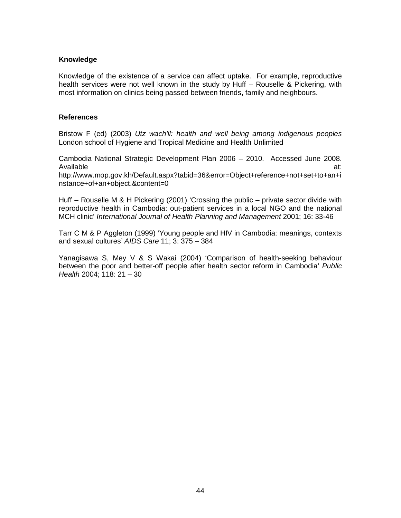### **Knowledge**

Knowledge of the existence of a service can affect uptake. For example, reproductive health services were not well known in the study by Huff – Rouselle & Pickering, with most information on clinics being passed between friends, family and neighbours.

#### **References**

Bristow F (ed) (2003) *Utz wach'il: health and well being among indigenous peoples* London school of Hygiene and Tropical Medicine and Health Unlimited

Cambodia National Strategic Development Plan 2006 – 2010. Accessed June 2008. Available at:

http://www.mop.gov.kh/Default.aspx?tabid=36&error=Object+reference+not+set+to+an+i nstance+of+an+object.&content=0

Huff – Rouselle M & H Pickering (2001) 'Crossing the public – private sector divide with reproductive health in Cambodia: out-patient services in a local NGO and the national MCH clinic' *International Journal of Health Planning and Management* 2001; 16: 33-46

Tarr C M & P Aggleton (1999) 'Young people and HIV in Cambodia: meanings, contexts and sexual cultures' *AIDS Care* 11; 3: 375 – 384

Yanagisawa S, Mey V & S Wakai (2004) 'Comparison of health-seeking behaviour between the poor and better-off people after health sector reform in Cambodia' *Public Health* 2004; 118: 21 – 30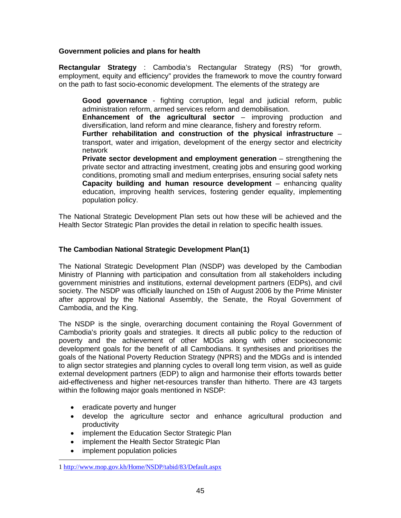# **Government policies and plans for health**

**Rectangular Strategy** : Cambodia's Rectangular Strategy (RS) "for growth, employment, equity and efficiency" provides the framework to move the country forward on the path to fast socio-economic development. The elements of the strategy are

**Good governance** - fighting corruption, legal and judicial reform, public administration reform, armed services reform and demobilisation.

**Enhancement of the agricultural sector** – improving production and diversification, land reform and mine clearance, fishery and forestry reform.

**Further rehabilitation and construction of the physical infrastructure** – transport, water and irrigation, development of the energy sector and electricity network

**Private sector development and employment generation** – strengthening the private sector and attracting investment, creating jobs and ensuring good working conditions, promoting small and medium enterprises, ensuring social safety nets **Capacity building and human resource development** – enhancing quality education, improving health services, fostering gender equality, implementing population policy.

The National Strategic Development Plan sets out how these will be achieved and the Health Sector Strategic Plan provides the detail in relation to specific health issues.

# **The Cambodian National Strategic Development Plan([1](#page-44-0) )**

The National Strategic Development Plan (NSDP) was developed by the Cambodian Ministry of Planning with participation and consultation from all stakeholders including government ministries and institutions, external development partners (EDPs), and civil society. The NSDP was officially launched on 15th of August 2006 by the Prime Minister after approval by the National Assembly, the Senate, the Royal Government of Cambodia, and the King.

The NSDP is the single, overarching document containing the Royal Government of Cambodia's priority goals and strategies. It directs all public policy to the reduction of poverty and the achievement of other MDGs along with other socioeconomic development goals for the benefit of all Cambodians. It synthesises and prioritises the goals of the National Poverty Reduction Strategy (NPRS) and the MDGs and is intended to align sector strategies and planning cycles to overall long term vision, as well as guide external development partners (EDP) to align and harmonise their efforts towards better aid-effectiveness and higher net-resources transfer than hitherto. There are 43 targets within the following major goals mentioned in NSDP:

- eradicate poverty and hunger
- develop the agriculture sector and enhance agricultural production and productivity
- implement the Education Sector Strategic Plan
- implement the Health Sector Strategic Plan
- implement population policies

<span id="page-44-0"></span> $\ddot{\phantom{a}}$ 1 <http://www.mop.gov.kh/Home/NSDP/tabid/83/Default.aspx>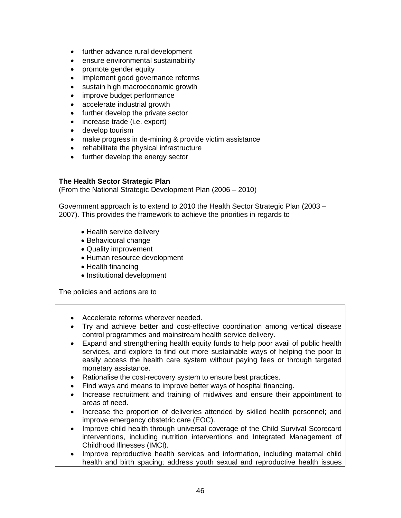- further advance rural development
- ensure environmental sustainability
- promote gender equity
- implement good governance reforms
- sustain high macroeconomic growth
- improve budget performance
- accelerate industrial growth
- further develop the private sector
- increase trade (i.e. export)
- develop tourism
- make progress in de-mining & provide victim assistance
- rehabilitate the physical infrastructure
- further develop the energy sector

### **The Health Sector Strategic Plan**

(From the National Strategic Development Plan (2006 – 2010)

Government approach is to extend to 2010 the Health Sector Strategic Plan (2003 – 2007). This provides the framework to achieve the priorities in regards to

- Health service delivery
- Behavioural change
- Quality improvement
- Human resource development
- Health financing
- Institutional development

The policies and actions are to

- Accelerate reforms wherever needed.
- Try and achieve better and cost-effective coordination among vertical disease control programmes and mainstream health service delivery.
- Expand and strengthening health equity funds to help poor avail of public health services, and explore to find out more sustainable ways of helping the poor to easily access the health care system without paying fees or through targeted monetary assistance.
- Rationalise the cost-recovery system to ensure best practices.
- Find ways and means to improve better ways of hospital financing.
- Increase recruitment and training of midwives and ensure their appointment to areas of need.
- Increase the proportion of deliveries attended by skilled health personnel; and improve emergency obstetric care (EOC).
- Improve child health through universal coverage of the Child Survival Scorecard interventions, including nutrition interventions and Integrated Management of Childhood Illnesses (IMCI).
- Improve reproductive health services and information, including maternal child health and birth spacing; address youth sexual and reproductive health issues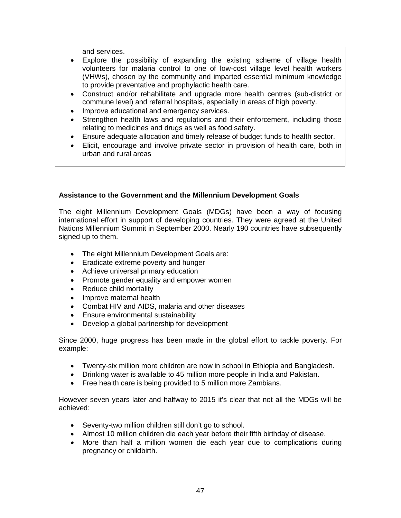and services.

- Explore the possibility of expanding the existing scheme of village health volunteers for malaria control to one of low-cost village level health workers (VHWs), chosen by the community and imparted essential minimum knowledge to provide preventative and prophylactic health care.
- Construct and/or rehabilitate and upgrade more health centres (sub-district or commune level) and referral hospitals, especially in areas of high poverty.
- Improve educational and emergency services.
- Strengthen health laws and regulations and their enforcement, including those relating to medicines and drugs as well as food safety.
- Ensure adequate allocation and timely release of budget funds to health sector.
- Elicit, encourage and involve private sector in provision of health care, both in urban and rural areas

# **Assistance to the Government and the Millennium Development Goals**

The eight Millennium Development Goals (MDGs) have been a way of focusing international effort in support of developing countries. They were agreed at the United Nations Millennium Summit in September 2000. Nearly 190 countries have subsequently signed up to them.

- The eight Millennium Development Goals are:
- Eradicate extreme poverty and hunger
- Achieve universal primary education
- Promote gender equality and empower women
- Reduce child mortality
- Improve maternal health
- Combat HIV and AIDS, malaria and other diseases
- Ensure environmental sustainability
- Develop a global partnership for development

Since 2000, huge progress has been made in the global effort to tackle poverty. For example:

- Twenty-six million more children are now in school in Ethiopia and Bangladesh.
- Drinking water is available to 45 million more people in India and Pakistan.
- Free health care is being provided to 5 million more Zambians.

However seven years later and halfway to 2015 it's clear that not all the MDGs will be achieved:

- Seventy-two million children still don't go to school.
- Almost 10 million children die each year before their fifth birthday of disease.
- More than half a million women die each year due to complications during pregnancy or childbirth.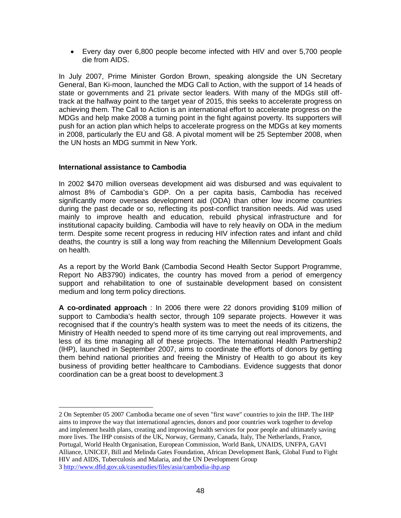• Every day over 6,800 people become infected with HIV and over 5,700 people die from AIDS.

In July 2007, Prime Minister Gordon Brown, speaking alongside the UN Secretary General, Ban Ki-moon, launched the MDG Call to Action, with the support of 14 heads of state or governments and 21 private sector leaders. With many of the MDGs still offtrack at the halfway point to the target year of 2015, this seeks to accelerate progress on achieving them. The Call to Action is an international effort to accelerate progress on the MDGs and help make 2008 a turning point in the fight against poverty. Its supporters will push for an action plan which helps to accelerate progress on the MDGs at key moments in 2008, particularly the EU and G8. A pivotal moment will be 25 September 2008, when the UN hosts an MDG summit in New York.

### **International assistance to Cambodia**

In 2002 \$470 million overseas development aid was disbursed and was equivalent to almost 8% of Cambodia's GDP. On a per capita basis, Cambodia has received significantly more overseas development aid (ODA) than other low income countries during the past decade or so, reflecting its post-conflict transition needs. Aid was used mainly to improve health and education, rebuild physical infrastructure and for institutional capacity building. Cambodia will have to rely heavily on ODA in the medium term. Despite some recent progress in reducing HIV infection rates and infant and child deaths, the country is still a long way from reaching the Millennium Development Goals on health.

As a report by the World Bank (Cambodia Second Health Sector Support Programme, Report No AB3790) indicates, the country has moved from a period of emergency support and rehabilitation to one of sustainable development based on consistent medium and long term policy directions.

**A co-ordinated approach** : In 2006 there were 22 donors providing \$109 million of support to Cambodia's health sector, through 109 separate projects. However it was recognised that if the country's health system was to meet the needs of its citizens, the Ministry of Health needed to spend more of its time carrying out real improvements, and less of its time managing all of these projects. The International Health Partnership[2](#page-47-0) (IHP), launched in September 2007, aims to coordinate the efforts of donors by getting them behind national priorities and freeing the Ministry of Health to go about its key business of providing better healthcare to Cambodians. Evidence suggests that donor coordination can be a great boost to development.[3](#page-47-1)

<span id="page-47-1"></span><span id="page-47-0"></span> $\ddot{\phantom{a}}$ 2 On September 05 2007 Cambodia became one of seven "first wave" countries to join the IHP. The IHP aims to improve the way that international agencies, donors and poor countries work together to develop and implement health plans, creating and improving health services for poor people and ultimately saving more lives. The IHP consists of the UK, Norway, Germany, Canada, Italy, The Netherlands, France, Portugal, World Health Organisation, European Commission, World Bank, UNAIDS, UNFPA, GAVI Alliance, UNICEF, Bill and Melinda Gates Foundation, African Development Bank, Global Fund to Fight HIV and AIDS, Tuberculosis and Malaria, and the UN Development Group 3 <http://www.dfid.gov.uk/casestudies/files/asia/cambodia-ihp.asp>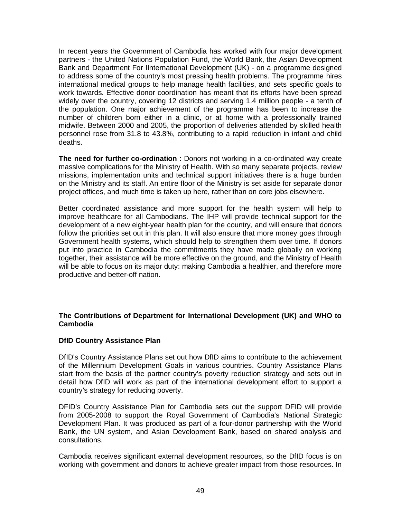In recent years the Government of Cambodia has worked with four major development partners - the United Nations Population Fund, the World Bank, the Asian Development Bank and Department For IInternational Development (UK) - on a programme designed to address some of the country's most pressing health problems. The programme hires international medical groups to help manage health facilities, and sets specific goals to work towards. Effective donor coordination has meant that its efforts have been spread widely over the country, covering 12 districts and serving 1.4 million people - a tenth of the population. One major achievement of the programme has been to increase the number of children born either in a clinic, or at home with a professionally trained midwife. Between 2000 and 2005, the proportion of deliveries attended by skilled health personnel rose from 31.8 to 43.8%, contributing to a rapid reduction in infant and child deaths.

**The need for further co-ordination** : Donors not working in a co-ordinated way create massive complications for the Ministry of Health. With so many separate projects, review missions, implementation units and technical support initiatives there is a huge burden on the Ministry and its staff. An entire floor of the Ministry is set aside for separate donor project offices, and much time is taken up here, rather than on core jobs elsewhere.

Better coordinated assistance and more support for the health system will help to improve healthcare for all Cambodians. The IHP will provide technical support for the development of a new eight-year health plan for the country, and will ensure that donors follow the priorities set out in this plan. It will also ensure that more money goes through Government health systems, which should help to strengthen them over time. If donors put into practice in Cambodia the commitments they have made globally on working together, their assistance will be more effective on the ground, and the Ministry of Health will be able to focus on its major duty: making Cambodia a healthier, and therefore more productive and better-off nation.

### **The Contributions of Department for International Development (UK) and WHO to Cambodia**

# **DfID Country Assistance Plan**

DfID's Country Assistance Plans set out how DfID aims to contribute to the achievement of the Millennium Development Goals in various countries. Country Assistance Plans start from the basis of the partner country's poverty reduction strategy and sets out in detail how DfID will work as part of the international development effort to support a country's strategy for reducing poverty.

DFID's Country Assistance Plan for Cambodia sets out the support DFID will provide from 2005-2008 to support the Royal Government of Cambodia's National Strategic Development Plan. It was produced as part of a four-donor partnership with the World Bank, the UN system, and Asian Development Bank, based on shared analysis and consultations.

Cambodia receives significant external development resources, so the DfID focus is on working with government and donors to achieve greater impact from those resources. In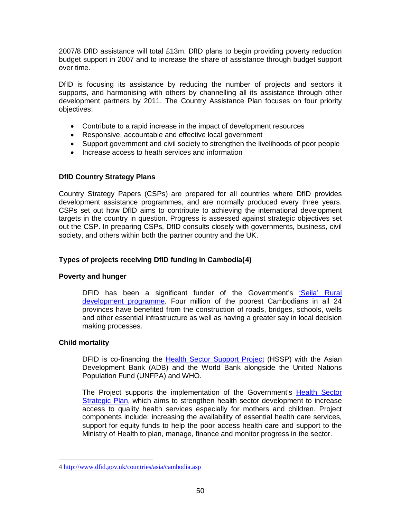2007/8 DfID assistance will total £13m. DfID plans to begin providing poverty reduction budget support in 2007 and to increase the share of assistance through budget support over time.

DfID is focusing its assistance by reducing the number of projects and sectors it supports, and harmonising with others by channelling all its assistance through other development partners by 2011. The Country Assistance Plan focuses on four priority objectives:

- Contribute to a rapid increase in the impact of development resources
- Responsive, accountable and effective local government
- Support government and civil society to strengthen the livelihoods of poor people
- Increase access to heath services and information

### **DfID Country Strategy Plans**

Country Strategy Papers (CSPs) are prepared for all countries where DfID provides development assistance programmes, and are normally produced every three years. CSPs set out how DfID aims to contribute to achieving the international development targets in the country in question. Progress is assessed against strategic objectives set out the CSP. In preparing CSPs, DfID consults closely with governments, business, civil society, and others within both the partner country and the UK.

# **Types of projects receiving DfID funding in Cambodia([4](#page-49-0) )**

#### **Poverty and hunger**

DFID has been a significant funder of the Government's 'Seila' Rural [development programme.](http://www.seila.gov.kh/indexs.asp?language=kh&pgid=1) Four million of the poorest Cambodians in all 24 provinces have benefited from the construction of roads, bridges, schools, wells and other essential infrastructure as well as having a greater say in local decision making processes.

#### **Child mortality**

DFID is co-financing the [Health Sector Support Project](http://web.worldbank.org/external/projects/main?menuPK=228424&theSitePK=40941&pagePK=64283627&piPK=73230&Projectid=P070542) (HSSP) with the Asian Development Bank (ADB) and the World Bank alongside the United Nations Population Fund (UNFPA) and WHO.

The Project supports the implementation of the Government's [Health Sector](http://rc.racha.org.kh/docDetails.asp?resourceID=277&categoryID=23)  [Strategic Plan,](http://rc.racha.org.kh/docDetails.asp?resourceID=277&categoryID=23) which aims to strengthen health sector development to increase access to quality health services especially for mothers and children. Project components include: increasing the availability of essential health care services, support for equity funds to help the poor access health care and support to the Ministry of Health to plan, manage, finance and monitor progress in the sector.

<span id="page-49-0"></span> $\ddot{\phantom{a}}$ 4 <http://www.dfid.gov.uk/countries/asia/cambodia.asp>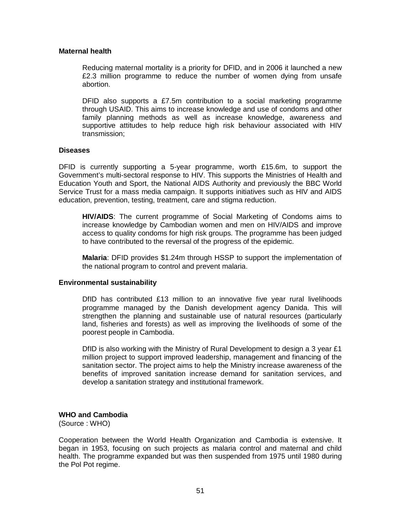#### **Maternal health**

Reducing maternal mortality is a priority for DFID, and in 2006 it launched a new £2.3 million programme to reduce the number of women dying from unsafe abortion.

DFID also supports a £7.5m contribution to a social marketing programme through USAID. This aims to increase knowledge and use of condoms and other family planning methods as well as increase knowledge, awareness and supportive attitudes to help reduce high risk behaviour associated with HIV transmission;

#### **Diseases**

DFID is currently supporting a 5-year programme, worth £15.6m, to support the Government's multi-sectoral response to HIV. This supports the Ministries of Health and Education Youth and Sport, the National AIDS Authority and previously the BBC World Service Trust for a mass media campaign. It supports initiatives such as HIV and AIDS education, prevention, testing, treatment, care and stigma reduction.

**HIV/AIDS**: The current programme of Social Marketing of Condoms aims to increase knowledge by Cambodian women and men on HIV/AIDS and improve access to quality condoms for high risk groups. The programme has been judged to have contributed to the reversal of the progress of the epidemic.

**Malaria**: DFID provides \$1.24m through HSSP to support the implementation of the national program to control and prevent malaria.

#### **Environmental sustainability**

DfID has contributed £13 million to an innovative five year rural livelihoods programme managed by the Danish development agency Danida. This will strengthen the planning and sustainable use of natural resources (particularly land, fisheries and forests) as well as improving the livelihoods of some of the poorest people in Cambodia.

DfID is also working with the Ministry of Rural Development to design a 3 year £1 million project to support improved leadership, management and financing of the sanitation sector. The project aims to help the Ministry increase awareness of the benefits of improved sanitation increase demand for sanitation services, and develop a sanitation strategy and institutional framework.

# **WHO and Cambodia**

(Source : WHO)

Cooperation between the World Health Organization and Cambodia is extensive. It began in 1953, focusing on such projects as malaria control and maternal and child health. The programme expanded but was then suspended from 1975 until 1980 during the Pol Pot regime.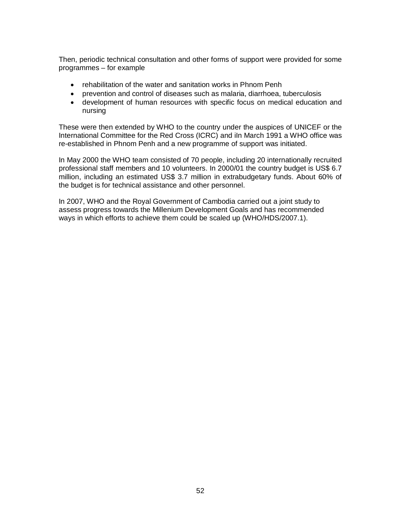Then, periodic technical consultation and other forms of support were provided for some programmes – for example

- rehabilitation of the water and sanitation works in Phnom Penh
- prevention and control of diseases such as malaria, diarrhoea, tuberculosis
- development of human resources with specific focus on medical education and nursing

These were then extended by WHO to the country under the auspices of UNICEF or the International Committee for the Red Cross (ICRC) and iIn March 1991 a WHO office was re-established in Phnom Penh and a new programme of support was initiated.

In May 2000 the WHO team consisted of 70 people, including 20 internationally recruited professional staff members and 10 volunteers. In 2000/01 the country budget is US\$ 6.7 million, including an estimated US\$ 3.7 million in extrabudgetary funds. About 60% of the budget is for technical assistance and other personnel.

In 2007, WHO and the Royal Government of Cambodia carried out a joint study to assess progress towards the Millenium Development Goals and has recommended ways in which efforts to achieve them could be scaled up (WHO/HDS/2007.1).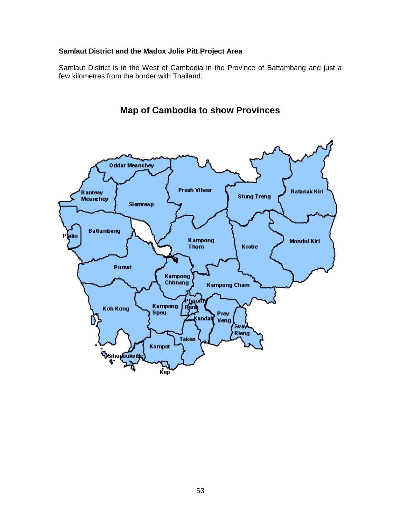# **Samlaut District and the Madox Jolie Pitt Project Area**

Samlaut District is in the West of Cambodia in the Province of Battambang and just a few kilometres from the border with Thailand.



**Map of Cambodia to show Provinces**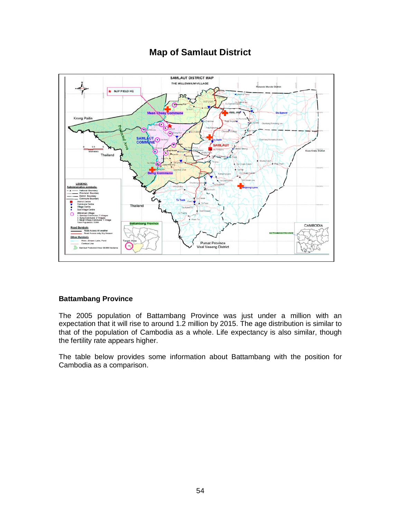# **Map of Samlaut District**



# **Battambang Province**

The 2005 population of Battambang Province was just under a million with an expectation that it will rise to around 1.2 million by 2015. The age distribution is similar to that of the population of Cambodia as a whole. Life expectancy is also similar, though the fertility rate appears higher.

The table below provides some information about Battambang with the position for Cambodia as a comparison.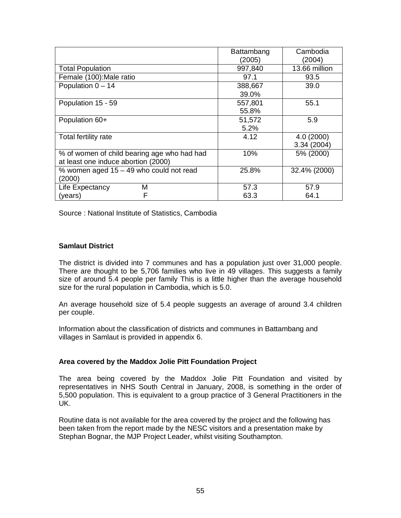|                                             | Battambang | Cambodia      |
|---------------------------------------------|------------|---------------|
|                                             | (2005)     | (2004)        |
| <b>Total Population</b>                     | 997,840    | 13.66 million |
| Female (100): Male ratio                    | 97.1       | 93.5          |
| Population $0 - 14$                         | 388,667    | 39.0          |
|                                             | 39.0%      |               |
| Population 15 - 59                          | 557,801    | 55.1          |
|                                             | 55.8%      |               |
| Population 60+                              | 51,572     | 5.9           |
|                                             | 5.2%       |               |
| Total fertility rate                        | 4.12       | 4.0(2000)     |
|                                             |            | 3.34 (2004)   |
| % of women of child bearing age who had had | 10%        | 5% (2000)     |
| at least one induce abortion (2000)         |            |               |
| % women aged 15 - 49 who could not read     | 25.8%      | 32.4% (2000)  |
| (2000)                                      |            |               |
| М<br>Life Expectancy                        | 57.3       | 57.9          |
| (years)<br>F                                | 63.3       | 64.1          |

Source : National Institute of Statistics, Cambodia

# **Samlaut District**

The district is divided into 7 communes and has a population just over 31,000 people. There are thought to be 5,706 families who live in 49 villages. This suggests a family size of around 5.4 people per family This is a little higher than the average household size for the rural population in Cambodia, which is 5.0.

An average household size of 5.4 people suggests an average of around 3.4 children per couple.

Information about the classification of districts and communes in Battambang and villages in Samlaut is provided in appendix 6.

#### **Area covered by the Maddox Jolie Pitt Foundation Project**

The area being covered by the Maddox Jolie Pitt Foundation and visited by representatives in NHS South Central in January, 2008, is something in the order of 5,500 population. This is equivalent to a group practice of 3 General Practitioners in the UK.

Routine data is not available for the area covered by the project and the following has been taken from the report made by the NESC visitors and a presentation make by Stephan Bognar, the MJP Project Leader, whilst visiting Southampton.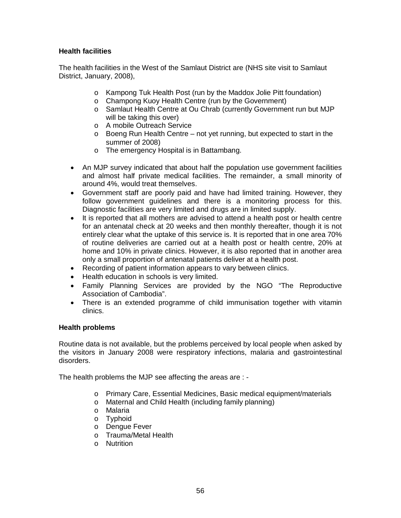# **Health facilities**

The health facilities in the West of the Samlaut District are (NHS site visit to Samlaut District, January, 2008),

- o Kampong Tuk Health Post (run by the Maddox Jolie Pitt foundation)
- o Champong Kuoy Health Centre (run by the Government)
- o Samlaut Health Centre at Ou Chrab (currently Government run but MJP will be taking this over)
- o A mobile Outreach Service
- o Boeng Run Health Centre not yet running, but expected to start in the summer of 2008)
- o The emergency Hospital is in Battambang.
- An MJP survey indicated that about half the population use government facilities and almost half private medical facilities. The remainder, a small minority of around 4%, would treat themselves.
- Government staff are poorly paid and have had limited training. However, they follow government guidelines and there is a monitoring process for this. Diagnostic facilities are very limited and drugs are in limited supply.
- It is reported that all mothers are advised to attend a health post or health centre for an antenatal check at 20 weeks and then monthly thereafter, though it is not entirely clear what the uptake of this service is. It is reported that in one area 70% of routine deliveries are carried out at a health post or health centre, 20% at home and 10% in private clinics. However, it is also reported that in another area only a small proportion of antenatal patients deliver at a health post.
- Recording of patient information appears to vary between clinics.
- Health education in schools is very limited.
- Family Planning Services are provided by the NGO "The Reproductive Association of Cambodia".
- There is an extended programme of child immunisation together with vitamin clinics.

# **Health problems**

Routine data is not available, but the problems perceived by local people when asked by the visitors in January 2008 were respiratory infections, malaria and gastrointestinal disorders.

The health problems the MJP see affecting the areas are : -

- o Primary Care, Essential Medicines, Basic medical equipment/materials
- o Maternal and Child Health (including family planning)
- o Malaria
- o Typhoid
- o Dengue Fever
- o Trauma/Metal Health
- o Nutrition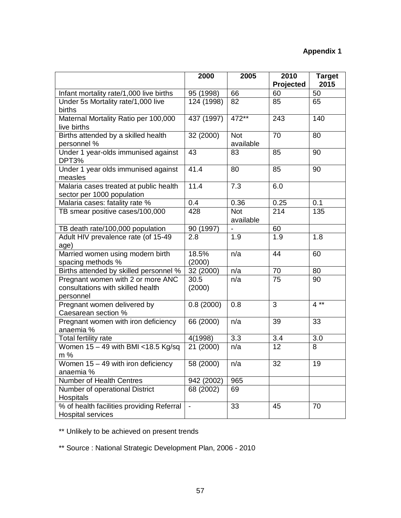# **Appendix 1**

|                                                                                     | 2000                     | 2005                    | 2010<br>Projected | <b>Target</b><br>2015 |
|-------------------------------------------------------------------------------------|--------------------------|-------------------------|-------------------|-----------------------|
| Infant mortality rate/1,000 live births                                             | 95 (1998)                | 66                      | 60                | 50                    |
| Under 5s Mortality rate/1,000 live<br>births                                        | 124 (1998)               | 82                      | 85                | 65                    |
| Maternal Mortality Ratio per 100,000<br>live births                                 | 437 (1997)               | 472**                   | 243               | 140                   |
| Births attended by a skilled health<br>personnel %                                  | 32 (2000)                | <b>Not</b><br>available | 70                | 80                    |
| Under 1 year-olds immunised against<br>DPT3%                                        | 43                       | 83                      | 85                | 90                    |
| Under 1 year olds immunised against<br>measles                                      | 41.4                     | 80                      | 85                | 90                    |
| Malaria cases treated at public health<br>sector per 1000 population                | 11.4                     | 7.3                     | 6.0               |                       |
| Malaria cases: fatality rate %                                                      | 0.4                      | 0.36                    | 0.25              | 0.1                   |
| TB smear positive cases/100,000                                                     | 428                      | <b>Not</b><br>available | 214               | 135                   |
| TB death rate/100,000 population                                                    | 90 (1997)                |                         | 60                |                       |
| Adult HIV prevalence rate (of 15-49<br>age)                                         | 2.8                      | 1.9                     | 1.9               | 1.8                   |
| Married women using modern birth<br>spacing methods %                               | 18.5%<br>(2000)          | n/a                     | 44                | 60                    |
| Births attended by skilled personnel %                                              | 32 (2000)                | n/a                     | 70                | 80                    |
| Pregnant women with 2 or more ANC<br>consultations with skilled health<br>personnel | 30.5<br>(2000)           | n/a                     | 75                | 90                    |
| Pregnant women delivered by<br>Caesarean section %                                  | 0.8(2000)                | 0.8                     | 3                 | $4**$                 |
| Pregnant women with iron deficiency<br>anaemia %                                    | 66 (2000)                | n/a                     | 39                | 33                    |
| Total fertility rate                                                                | 4(1998)                  | 3.3                     | 3.4               | 3.0                   |
| Women $15 - 49$ with BMI <18.5 Kg/sq<br>m %                                         | 21 (2000)                | n/a                     | 12                | 8                     |
| Women 15 - 49 with iron deficiency<br>anaemia %                                     | 58 (2000)                | n/a                     | 32                | 19                    |
| Number of Health Centres                                                            | 942 (2002)               | 965                     |                   |                       |
| Number of operational District<br>Hospitals                                         | 68 (2002)                | 69                      |                   |                       |
| % of health facilities providing Referral<br><b>Hospital services</b>               | $\overline{\phantom{a}}$ | 33                      | 45                | 70                    |

\*\* Unlikely to be achieved on present trends

\*\* Source : National Strategic Development Plan, 2006 - 2010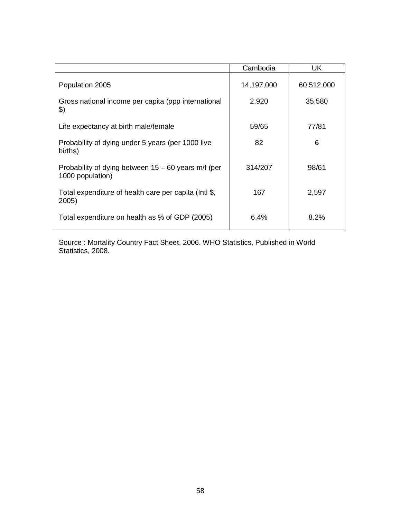|                                                                         | Cambodia   | UK         |
|-------------------------------------------------------------------------|------------|------------|
| Population 2005                                                         | 14,197,000 | 60,512,000 |
| Gross national income per capita (ppp international<br>\$)              | 2,920      | 35,580     |
| Life expectancy at birth male/female                                    | 59/65      | 77/81      |
| Probability of dying under 5 years (per 1000 live<br>births)            | 82         | 6          |
| Probability of dying between 15 - 60 years m/f (per<br>1000 population) | 314/207    | 98/61      |
| Total expenditure of health care per capita (Intl \$,<br>2005)          | 167        | 2,597      |
| Total expenditure on health as % of GDP (2005)                          | 6.4%       | 8.2%       |

Source : Mortality Country Fact Sheet, 2006. WHO Statistics, Published in World Statistics, 2008.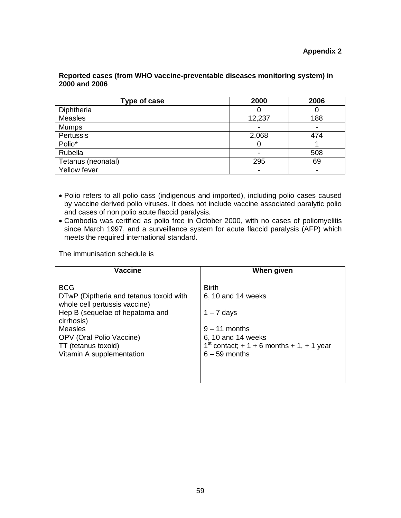### **Appendix 2**

# **Reported cases (from WHO vaccine-preventable diseases monitoring system) in 2000 and 2006**

| Type of case       | 2000                     | 2006 |
|--------------------|--------------------------|------|
| Diphtheria         |                          |      |
| Measles            | 12,237                   | 188  |
| <b>Mumps</b>       | $\blacksquare$           |      |
| Pertussis          | 2,068                    | 474  |
| Polio*             | O                        |      |
| Rubella            | $\overline{\phantom{0}}$ | 508  |
| Tetanus (neonatal) | 295                      | 69   |
| Yellow fever       | -                        |      |

- Polio refers to all polio cass (indigenous and imported), including polio cases caused by vaccine derived polio viruses. It does not include vaccine associated paralytic polio and cases of non polio acute flaccid paralysis.
- Cambodia was certified as polio free in October 2000, with no cases of poliomyelitis since March 1997, and a surveillance system for acute flaccid paralysis (AFP) which meets the required international standard.

The immunisation schedule is

| <b>BCG</b><br><b>Birth</b><br>DTwP (Diptheria and tetanus toxoid with<br>6, 10 and 14 weeks<br>whole cell pertussis vaccine)<br>Hep B (sequelae of hepatoma and<br>$1 - 7$ days<br>cirrhosis)<br><b>Measles</b><br>$9 - 11$ months<br>OPV (Oral Polio Vaccine)<br>6, 10 and 14 weeks<br>$1^{st}$ contact; + 1 + 6 months + 1, + 1 year<br>TT (tetanus toxoid) | <b>Vaccine</b>            | When given      |
|---------------------------------------------------------------------------------------------------------------------------------------------------------------------------------------------------------------------------------------------------------------------------------------------------------------------------------------------------------------|---------------------------|-----------------|
|                                                                                                                                                                                                                                                                                                                                                               | Vitamin A supplementation | $6 - 59$ months |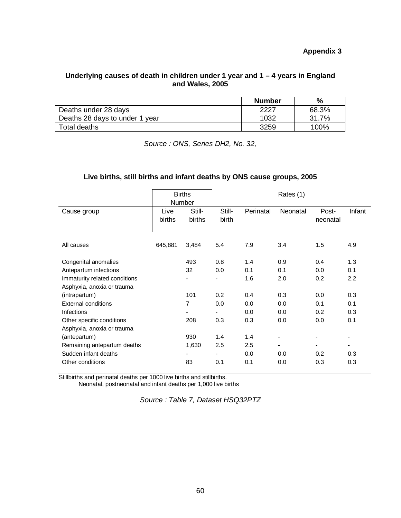# **Appendix 3**

# **Underlying causes of death in children under 1 year and 1 – 4 years in England and Wales, 2005**

|                                | <b>Number</b> | $\frac{0}{0}$ |
|--------------------------------|---------------|---------------|
| Deaths under 28 days           | 2227          | 68.3%         |
| Deaths 28 days to under 1 year | 1032          | 31.7%         |
| Total deaths                   | 3259          | 100%          |

*Source : ONS, Series DH2, No. 32,*

# **Live births, still births and infant deaths by ONS cause groups, 2005**

|                               |                | <b>Births</b><br>Number  | Rates (1)              |           |                              |                   |        |  |
|-------------------------------|----------------|--------------------------|------------------------|-----------|------------------------------|-------------------|--------|--|
| Cause group                   | Live<br>births | Still-<br>births         | Still-<br><b>birth</b> | Perinatal | Neonatal                     | Post-<br>neonatal | Infant |  |
| All causes                    | 645,881        | 3,484                    | 5.4                    | 7.9       | 3.4                          | 1.5               | 4.9    |  |
| Congenital anomalies          |                | 493                      | 0.8                    | 1.4       | 0.9                          | 0.4               | 1.3    |  |
| Antepartum infections         |                | 32                       | 0.0                    | 0.1       | 0.1                          | 0.0               | 0.1    |  |
| Immaturity related conditions |                |                          |                        | 1.6       | 2.0                          | 0.2               | 2.2    |  |
| Asphyxia, anoxia or trauma    |                |                          |                        |           |                              |                   |        |  |
| (intrapartum)                 |                | 101                      | 0.2                    | 0.4       | 0.3                          | 0.0               | 0.3    |  |
| <b>External conditions</b>    |                | 7                        | 0.0                    | 0.0       | 0.0                          | 0.1               | 0.1    |  |
| <b>Infections</b>             |                |                          |                        | 0.0       | 0.0                          | 0.2               | 0.3    |  |
| Other specific conditions     |                | 208                      | 0.3                    | 0.3       | 0.0                          | 0.0               | 0.1    |  |
| Asphyxia, anoxia or trauma    |                |                          |                        |           |                              |                   |        |  |
| (antepartum)                  |                | 930                      | 1.4                    | 1.4       | $\overline{\phantom{a}}$     |                   |        |  |
| Remaining antepartum deaths   |                | 1,630                    | 2.5                    | 2.5       | $\qquad \qquad \blacksquare$ | ٠                 | ٠      |  |
| Sudden infant deaths          |                | $\overline{\phantom{a}}$ |                        | 0.0       | 0.0                          | 0.2               | 0.3    |  |
| Other conditions              |                | 83                       | 0.1                    | 0.1       | 0.0                          | 0.3               | 0.3    |  |

Stillbirths and perinatal deaths per 1000 live births and stillbirths.

Neonatal, postneonatal and infant deaths per 1,000 live births

*Source : Table 7, Dataset HSQ32PTZ*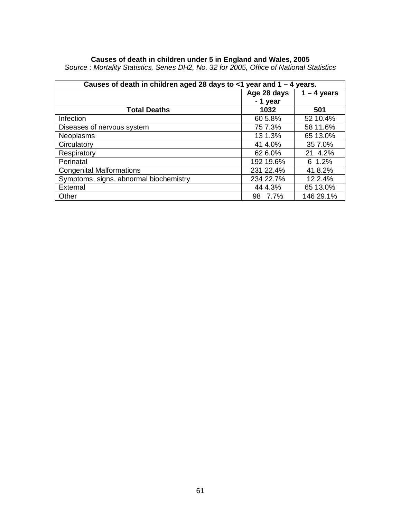### **Causes of death in children under 5 in England and Wales, 2005**

| Causes of death in children aged 28 days to $\lt 1$ year and $1 - 4$ years. |             |               |  |  |
|-----------------------------------------------------------------------------|-------------|---------------|--|--|
|                                                                             | Age 28 days | $1 - 4$ years |  |  |
|                                                                             | - 1 year    |               |  |  |
| <b>Total Deaths</b>                                                         | 1032        | 501           |  |  |
| Infection                                                                   | 60 5.8%     | 52 10.4%      |  |  |
| Diseases of nervous system                                                  | 75 7.3%     | 58 11.6%      |  |  |
| <b>Neoplasms</b>                                                            | 13 1.3%     | 65 13.0%      |  |  |
| Circulatory                                                                 | 41 4.0%     | 35 7.0%       |  |  |
| Respiratory                                                                 | 62 6.0%     | 21 4.2%       |  |  |
| Perinatal                                                                   | 192 19.6%   | 6 1.2%        |  |  |
| <b>Congenital Malformations</b>                                             | 231 22.4%   | 41 8.2%       |  |  |
| Symptoms, signs, abnormal biochemistry                                      | 234 22.7%   | 12 2.4%       |  |  |
| External                                                                    | 44 4.3%     | 65 13.0%      |  |  |
| Other                                                                       | 98 7.7%     | 146 29.1%     |  |  |

*Source : Mortality Statistics, Series DH2, No. 32 for 2005, Office of National Statistics*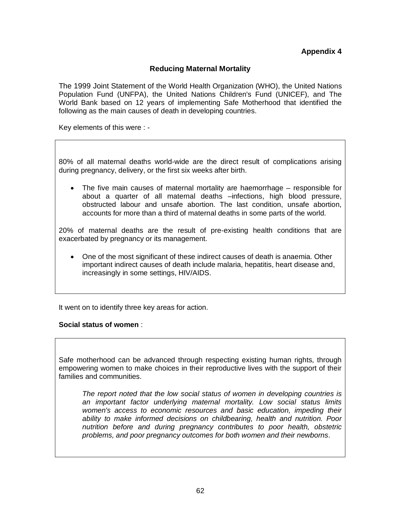# **Appendix 4**

# **Reducing Maternal Mortality**

The 1999 Joint Statement of the World Health Organization (WHO), the United Nations Population Fund (UNFPA), the United Nations Children's Fund (UNICEF), and The World Bank based on 12 years of implementing Safe Motherhood that identified the following as the main causes of death in developing countries.

Key elements of this were : -

80% of all maternal deaths world-wide are the direct result of complications arising during pregnancy, delivery, or the first six weeks after birth.

• The five main causes of maternal mortality are haemorrhage – responsible for about a quarter of all maternal deaths –infections, high blood pressure, obstructed labour and unsafe abortion. The last condition, unsafe abortion, accounts for more than a third of maternal deaths in some parts of the world.

20% of maternal deaths are the result of pre-existing health conditions that are exacerbated by pregnancy or its management.

• One of the most significant of these indirect causes of death is anaemia. Other important indirect causes of death include malaria, hepatitis, heart disease and, increasingly in some settings, HIV/AIDS.

It went on to identify three key areas for action.

#### **Social status of women** :

Safe motherhood can be advanced through respecting existing human rights, through empowering women to make choices in their reproductive lives with the support of their families and communities.

*The report noted that the low social status of women in developing countries is an important factor underlying maternal mortality. Low social status limits women's access to economic resources and basic education, impeding their ability to make informed decisions on childbearing, health and nutrition. Poor nutrition before and during pregnancy contributes to poor health, obstetric problems, and poor pregnancy outcomes for both women and their newborns*.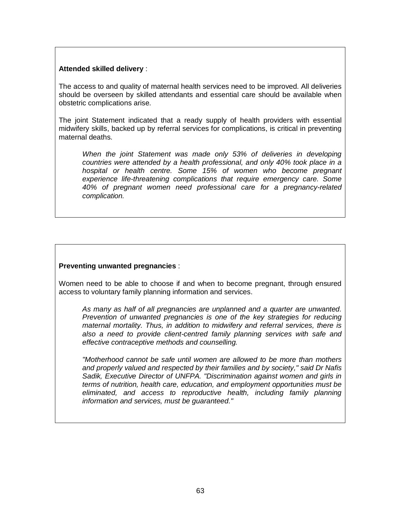### **Attended skilled delivery** :

The access to and quality of maternal health services need to be improved. All deliveries should be overseen by skilled attendants and essential care should be available when obstetric complications arise.

The joint Statement indicated that a ready supply of health providers with essential midwifery skills, backed up by referral services for complications, is critical in preventing maternal deaths.

*When the joint Statement was made only 53% of deliveries in developing countries were attended by a health professional, and only 40% took place in a hospital or health centre. Some 15% of women who become pregnant experience life-threatening complications that require emergency care. Some 40% of pregnant women need professional care for a pregnancy-related complication.*

# **Preventing unwanted pregnancies** :

Women need to be able to choose if and when to become pregnant, through ensured access to voluntary family planning information and services.

*As many as half of all pregnancies are unplanned and a quarter are unwanted. Prevention of unwanted pregnancies is one of the key strategies for reducing maternal mortality. Thus, in addition to midwifery and referral services, there is also a need to provide client-centred family planning services with safe and effective contraceptive methods and counselling.* 

*"Motherhood cannot be safe until women are allowed to be more than mothers and properly valued and respected by their families and by society," said Dr Nafis Sadik, Executive Director of UNFPA. "Discrimination against women and girls in terms of nutrition, health care, education, and employment opportunities must be eliminated, and access to reproductive health, including family planning information and services, must be guaranteed."*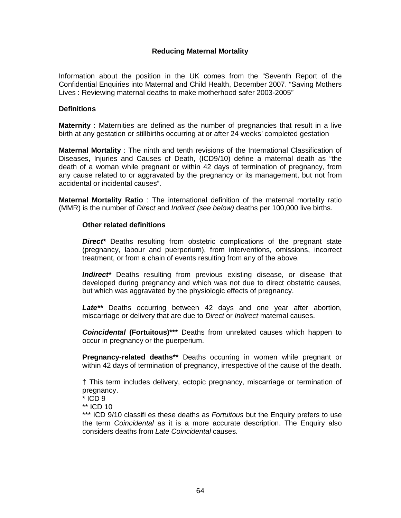# **Reducing Maternal Mortality**

Information about the position in the UK comes from the "Seventh Report of the Confidential Enquiries into Maternal and Child Health, December 2007. "Saving Mothers Lives : Reviewing maternal deaths to make motherhood safer 2003-2005"

#### **Definitions**

**Maternity** : Maternities are defined as the number of pregnancies that result in a live birth at any gestation or stillbirths occurring at or after 24 weeks' completed gestation

**Maternal Mortality** : The ninth and tenth revisions of the International Classification of Diseases, Injuries and Causes of Death, (ICD9/10) define a maternal death as "the death of a woman while pregnant or within 42 days of termination of pregnancy, from any cause related to or aggravated by the pregnancy or its management, but not from accidental or incidental causes".

**Maternal Mortality Ratio** : The international definition of the maternal mortality ratio (MMR) is the number of *Direct* and *Indirect (see below)* deaths per 100,000 live births.

### **Other related definitions**

**Direct<sup>\*</sup>** Deaths resulting from obstetric complications of the pregnant state (pregnancy, labour and puerperium), from interventions, omissions, incorrect treatment, or from a chain of events resulting from any of the above.

*Indirect\** Deaths resulting from previous existing disease, or disease that developed during pregnancy and which was not due to direct obstetric causes, but which was aggravated by the physiologic effects of pregnancy.

*Late\*\** Deaths occurring between 42 days and one year after abortion, miscarriage or delivery that are due to *Direct* or *Indirect* maternal causes.

*Coincidental* **(Fortuitous)\*\*\*** Deaths from unrelated causes which happen to occur in pregnancy or the puerperium.

**Pregnancy-related deaths\*\*** Deaths occurring in women while pregnant or within 42 days of termination of pregnancy, irrespective of the cause of the death.

† This term includes delivery, ectopic pregnancy, miscarriage or termination of pregnancy.

\*\*\* ICD 9/10 classifi es these deaths as *Fortuitous* but the Enquiry prefers to use the term *Coincidental* as it is a more accurate description. The Enquiry also considers deaths from *Late Coincidental* causes.

 $*$  ICD 9

<sup>\*\*</sup> ICD 10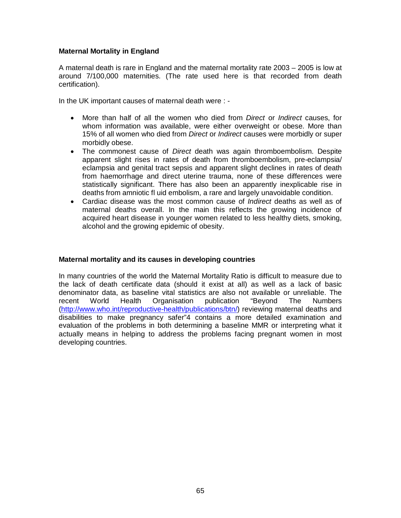# **Maternal Mortality in England**

A maternal death is rare in England and the maternal mortality rate 2003 – 2005 is low at around 7/100,000 maternities. (The rate used here is that recorded from death certification).

In the UK important causes of maternal death were : -

- More than half of all the women who died from *Direct* or *Indirect* causes, for whom information was available, were either overweight or obese. More than 15% of all women who died from *Direct* or *Indirect* causes were morbidly or super morbidly obese.
- The commonest cause of *Direct* death was again thromboembolism. Despite apparent slight rises in rates of death from thromboembolism, pre-eclampsia/ eclampsia and genital tract sepsis and apparent slight declines in rates of death from haemorrhage and direct uterine trauma, none of these differences were statistically significant. There has also been an apparently inexplicable rise in deaths from amniotic fl uid embolism, a rare and largely unavoidable condition.
- Cardiac disease was the most common cause of *Indirect* deaths as well as of maternal deaths overall. In the main this reflects the growing incidence of acquired heart disease in younger women related to less healthy diets, smoking, alcohol and the growing epidemic of obesity.

# **Maternal mortality and its causes in developing countries**

In many countries of the world the Maternal Mortality Ratio is difficult to measure due to the lack of death certificate data (should it exist at all) as well as a lack of basic denominator data, as baseline vital statistics are also not available or unreliable. The recent World Health Organisation publication "Beyond The Numbers [\(http://www.who.int/reproductive-health/publications/btn/\)](http://www.who.int/reproductive-health/publications/btn/) reviewing maternal deaths and disabilities to make pregnancy safer"4 contains a more detailed examination and evaluation of the problems in both determining a baseline MMR or interpreting what it actually means in helping to address the problems facing pregnant women in most developing countries.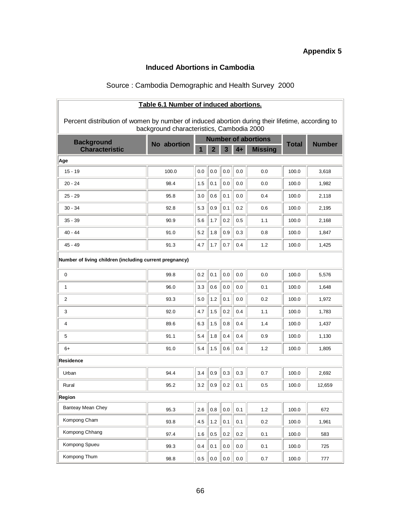# **Appendix 5**

# **Induced Abortions in Cambodia**

# Source : Cambodia Demographic and Health Survey 2000

| Table 6.1 Number of induced abortions.                                                          |                                                                         |         |         |         |      |                |              |               |
|-------------------------------------------------------------------------------------------------|-------------------------------------------------------------------------|---------|---------|---------|------|----------------|--------------|---------------|
| Percent distribution of women by number of induced abortion during their lifetime, according to |                                                                         |         |         |         |      |                |              |               |
|                                                                                                 | background characteristics, Cambodia 2000<br><b>Number of abortions</b> |         |         |         |      |                |              |               |
| <b>Background</b><br><b>Characteristic</b>                                                      | No abortion                                                             |         |         | 3       | $4+$ | <b>Missing</b> | <b>Total</b> | <b>Number</b> |
| Age                                                                                             |                                                                         |         |         |         |      |                |              |               |
| $15 - 19$                                                                                       | 100.0                                                                   | 0.0     | 0.0     | 0.0     | 0.0  | 0.0            | 100.0        | 3,618         |
| $20 - 24$                                                                                       | 98.4                                                                    | 1.5     | 0.1     | 0.0     | 0.0  | 0.0            | 100.0        | 1,982         |
| $25 - 29$                                                                                       | 95.8                                                                    | 3.0     | 0.6     | 0.1     | 0.0  | 0.4            | 100.0        | 2,118         |
| $30 - 34$                                                                                       | 92.8                                                                    | 5.3     | 0.9     | 0.1     | 0.2  | 0.6            | 100.0        | 2,195         |
| $35 - 39$                                                                                       | 90.9                                                                    | 5.6     | 1.7     | 0.2     | 0.5  | 1.1            | 100.0        | 2,168         |
| $40 - 44$                                                                                       | 91.0                                                                    | 5.2     | 1.8     | 0.9     | 0.3  | 0.8            | 100.0        | 1,847         |
| 45 - 49                                                                                         | 91.3                                                                    | 4.7     | 1.7     | 0.7     | 0.4  | 1.2            | 100.0        | 1,425         |
|                                                                                                 | Number of living children (including current pregnancy)                 |         |         |         |      |                |              |               |
| 0                                                                                               | 99.8                                                                    | 0.2     | 0.1     | 0.0     | 0.0  | 0.0            | 100.0        | 5,576         |
| 1                                                                                               | 96.0                                                                    | 3.3     | 0.6     | 0.0     | 0.0  | 0.1            | 100.0        | 1,648         |
| 2                                                                                               | 93.3                                                                    | 5.0     | 1.2     | 0.1     | 0.0  | 0.2            | 100.0        | 1,972         |
| 3                                                                                               | 92.0                                                                    | 4.7     | 1.5     | 0.2     | 0.4  | 1.1            | 100.0        | 1,783         |
| 4                                                                                               | 89.6                                                                    | 6.3     | 1.5     | 0.8     | 0.4  | 1.4            | 100.0        | 1,437         |
| 5                                                                                               | 91.1                                                                    | 5.4     | 1.8     | 0.4     | 0.4  | 0.9            | 100.0        | 1,130         |
| 6+                                                                                              | 91.0                                                                    | 5.4     | 1.5     | 0.6     | 0.4  | 1.2            | 100.0        | 1,805         |
| <b>Residence</b>                                                                                |                                                                         |         |         |         |      |                |              |               |
| Urban                                                                                           | 94.4                                                                    | 3.4     | 0.9     | 0.3     | 0.3  | 0.7            | 100.0        | 2,692         |
| Rural                                                                                           | 95.2                                                                    | 3.2     | 0.9     | 0.2     | 0.1  | 0.5            | 100.0        | 12,659        |
| Region                                                                                          |                                                                         |         |         |         |      |                |              |               |
| <b>Banteay Mean Chey</b>                                                                        | 95.3                                                                    | 2.6     | $0.8\,$ | $0.0\,$ | 0.1  | 1.2            | 100.0        | 672           |
| Kompong Cham                                                                                    | 93.8                                                                    | 4.5     | $1.2$   | 0.1     | 0.1  | 0.2            | 100.0        | 1,961         |
| Kompong Chhang                                                                                  | 97.4                                                                    | 1.6     | 0.5     | 0.2     | 0.2  | 0.1            | 100.0        | 583           |
| Kompong Spueu                                                                                   | 99.3                                                                    | 0.4     | 0.1     | $0.0\,$ | 0.0  | 0.1            | 100.0        | 725           |
| Kompong Thum                                                                                    | 98.8                                                                    | $0.5\,$ | 0.0     | 0.0     | 0.0  | 0.7            | 100.0        | 777           |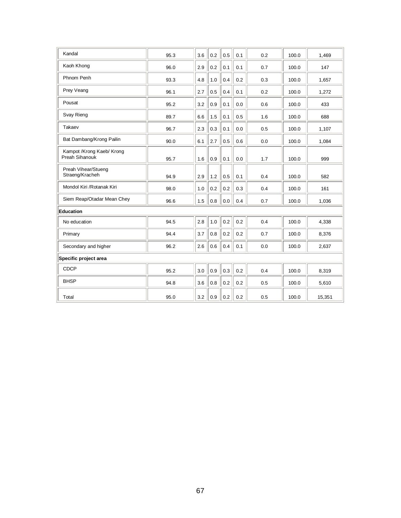| Kandal                                      | 95.3 | 3.6 | 0.2 | 0.5     | 0.1 | 0.2 | 100.0 | 1,469  |
|---------------------------------------------|------|-----|-----|---------|-----|-----|-------|--------|
| Kaoh Khong                                  | 96.0 | 2.9 | 0.2 | 0.1     | 0.1 | 0.7 | 100.0 | 147    |
| Phnom Penh                                  | 93.3 | 4.8 | 1.0 | 0.4     | 0.2 | 0.3 | 100.0 | 1,657  |
| Prey Veang                                  | 96.1 | 2.7 | 0.5 | 0.4     | 0.1 | 0.2 | 100.0 | 1,272  |
| Pousat                                      | 95.2 | 3.2 | 0.9 | 0.1     | 0.0 | 0.6 | 100.0 | 433    |
| Svay Rieng                                  | 89.7 | 6.6 | 1.5 | 0.1     | 0.5 | 1.6 | 100.0 | 688    |
| Takaev                                      | 96.7 | 2.3 | 0.3 | 0.1     | 0.0 | 0.5 | 100.0 | 1,107  |
| Bat Dambang/Krong Pailin                    | 90.0 | 6.1 | 2.7 | 0.5     | 0.6 | 0.0 | 100.0 | 1,084  |
| Kampot /Krong Kaeb/ Krong<br>Preah Sihanouk | 95.7 | 1.6 | 0.9 | 0.1     | 0.0 | 1.7 | 100.0 | 999    |
| Preah Vihear/Stueng<br>Straeng/Kracheh      | 94.9 | 2.9 | 1.2 | 0.5     | 0.1 | 0.4 | 100.0 | 582    |
| Mondol Kiri / Rotanak Kiri                  | 98.0 | 1.0 | 0.2 | 0.2     | 0.3 | 0.4 | 100.0 | 161    |
| Siem Reap/Otadar Mean Chey                  | 96.6 | 1.5 | 0.8 | 0.0     | 0.4 | 0.7 | 100.0 | 1,036  |
| Education                                   |      |     |     |         |     |     |       |        |
| No education                                | 94.5 | 2.8 | 1.0 | 0.2     | 0.2 | 0.4 | 100.0 | 4,338  |
| Primary                                     | 94.4 | 3.7 | 0.8 | $0.2\,$ | 0.2 | 0.7 | 100.0 | 8,376  |
| Secondary and higher                        | 96.2 | 2.6 | 0.6 | 0.4     | 0.1 | 0.0 | 100.0 | 2,637  |
| Specific project area                       |      |     |     |         |     |     |       |        |
| CDCP                                        | 95.2 | 3.0 | 0.9 | 0.3     | 0.2 | 0.4 | 100.0 | 8,319  |
| <b>BHSP</b>                                 | 94.8 | 3.6 | 0.8 | 0.2     | 0.2 | 0.5 | 100.0 | 5,610  |
| Total                                       | 95.0 | 3.2 | 0.9 | 0.2     | 0.2 | 0.5 | 100.0 | 15,351 |